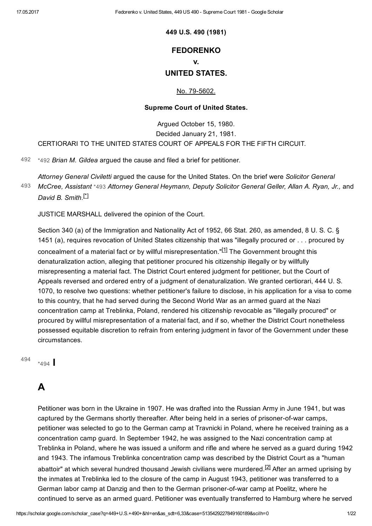449 U.S. 490 (1981)

# FEDORENKO

v.

# UNITED STATES.

## No. 79-5602.

# <span id="page-0-4"></span>Supreme Court of United States.

Argued October 15, 1980. Decided January 21, 1981. CERTIORARI TO THE UNITED STATES COURT OF APPEALS FOR THE FIFTH CIRCUIT.

<span id="page-0-0"></span>[492](#page-0-0) [\\*492](#page-0-0) Brian M. Gildea argued the cause and filed a brief for petitioner.

Attorney General Civiletti argued the cause for the United States. On the brief were Solicitor General McCree, Assistant [\\*493](#page-0-1) Attorney General Heymann, Deputy Solicitor General Geller, Allan A. Ryan, Jr., and David B. Smith. [\[\\*\]](#page-14-0) [493](#page-0-1)

<span id="page-0-3"></span><span id="page-0-1"></span>JUSTICE MARSHALL delivered the opinion of the Court.

Section 340 (a) of the Immigration and Nationality Act of 1952, 66 Stat. 260, as amended, 8 U. S. C. § 1451 (a), requires revocation of United States citizenship that was "illegally procured or . . . procured by concealment of a material fact or by willful misrepresentation."<sup>[\[1\]](#page-14-1)</sup> The Government brought this denaturalization action, alleging that petitioner procured his citizenship illegally or by willfully misrepresenting a material fact. The District Court entered judgment for petitioner, but the Court of Appeals reversed and ordered entry of a judgment of denaturalization. We granted certiorari, 444 U. S. 1070, to resolve two questions: whether petitioner's failure to disclose, in his application for a visa to come to this country, that he had served during the Second World War as an armed guard at the Nazi concentration camp at Treblinka, Poland, rendered his citizenship revocable as "illegally procured" or procured by willful misrepresentation of a material fact, and if so, whether the District Court nonetheless possessed equitable discretion to refrain from entering judgment in favor of the Government under these circumstances.

[494](#page-0-2)

<span id="page-0-2"></span> $*494$ 

# A

<span id="page-0-5"></span>Petitioner was born in the Ukraine in 1907. He was drafted into the Russian Army in June 1941, but was captured by the Germans shortly thereafter. After being held in a series of prisoner-of-war camps, petitioner was selected to go to the German camp at Travnicki in Poland, where he received training as a concentration camp guard. In September 1942, he was assigned to the Nazi concentration camp at Treblinka in Poland, where he was issued a uniform and rifle and where he served as a guard during 1942 and 1943. The infamous Treblinka concentration camp was described by the District Court as a "human abattoir" at which several hundred thousand Jewish civilians were murdered.<sup>[\[2\]](#page-15-0)</sup> After an armed uprising by the inmates at Treblinka led to the closure of the camp in August 1943, petitioner was transferred to a German labor camp at Danzig and then to the German prisoner-of-war camp at Poelitz, where he continued to serve as an armed guard. Petitioner was eventually transferred to Hamburg where he served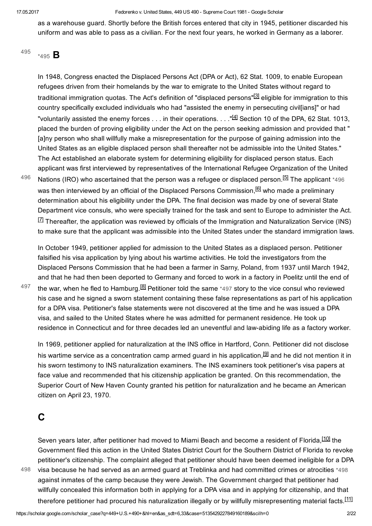as a warehouse guard. Shortly before the British forces entered that city in 1945, petitioner discarded his uniform and was able to pass as a civilian. For the next four years, he worked in Germany as a laborer.

[495](#page-1-0)

<span id="page-1-0"></span>[\\*495](#page-1-0) B

<span id="page-1-5"></span><span id="page-1-4"></span>In 1948, Congress enacted the Displaced Persons Act (DPA or Act), 62 Stat. 1009, to enable European refugees driven from their homelands by the war to emigrate to the United States without regard to traditional immigration quotas. The Act's definition of "displaced persons"<sup>[\[3\]](#page-15-1)</sup> eligible for immigration to this country specifically excluded individuals who had "assisted the enemy in persecuting civil[ians]" or had "voluntarily assisted the enemy forces . . . in their operations. . . ." [\[4\]](#page-15-2) Section 10 of the DPA, 62 Stat. 1013, placed the burden of proving eligibility under the Act on the person seeking admission and provided that " [a]ny person who shall willfully make a misrepresentation for the purpose of gaining admission into the United States as an eligible displaced person shall thereafter not be admissible into the United States." The Act established an elaborate system for determining eligibility for displaced person status. Each applicant was first interviewed by representatives of the International Refugee Organization of the United Nations (IRO) who ascertained that the person was a refugee or displaced person.<sup>[\[5\]](#page-15-3)</sup> The applicant [\\*496](#page-1-1)

was then interviewed by an official of the Displaced Persons Commission,<sup>[\[6\]](#page-15-4)</sup> who made a preliminary determination about his eligibility under the DPA. The final decision was made by one of several State Department vice consuls, who were specially trained for the task and sent to Europe to administer the Act.  $\Box$  Thereafter, the application was reviewed by officials of the Immigration and Naturalization Service (INS) to make sure that the applicant was admissible into the United States under the standard immigration laws.

<span id="page-1-8"></span><span id="page-1-7"></span><span id="page-1-6"></span><span id="page-1-1"></span>In October 1949, petitioner applied for admission to the United States as a displaced person. Petitioner falsified his visa application by lying about his wartime activities. He told the investigators from the Displaced Persons Commission that he had been a farmer in Sarny, Poland, from 1937 until March 1942, and that he had then been deported to Germany and forced to work in a factory in Poelitz until the end of

[497](#page-1-2)

[496](#page-1-1)

<span id="page-1-9"></span><span id="page-1-2"></span>the war, when he fled to Hamburg.<sup>[\[8\]](#page-15-6)</sup> Petitioner told the same [\\*497](#page-1-2) story to the vice consul who reviewed his case and he signed a sworn statement containing these false representations as part of his application for a DPA visa. Petitioner's false statements were not discovered at the time and he was issued a DPA visa, and sailed to the United States where he was admitted for permanent residence. He took up residence in Connecticut and for three decades led an uneventful and lawabiding life as a factory worker.

<span id="page-1-10"></span>In 1969, petitioner applied for naturalization at the INS office in Hartford, Conn. Petitioner did not disclose his wartime service as a concentration camp armed guard in his application,<sup>[\[9\]](#page-15-7)</sup> and he did not mention it in his sworn testimony to INS naturalization examiners. The INS examiners took petitioner's visa papers at face value and recommended that his citizenship application be granted. On this recommendation, the Superior Court of New Haven County granted his petition for naturalization and he became an American citizen on April 23, 1970.

# C

[498](#page-1-3)

<span id="page-1-12"></span><span id="page-1-11"></span><span id="page-1-3"></span>Seven years later, after petitioner had moved to Miami Beach and become a resident of Florida, [\[10\]](#page-15-8) the Government filed this action in the United States District Court for the Southern District of Florida to revoke petitioner's citizenship. The complaint alleged that petitioner should have been deemed ineligible for a DPA visa because he had served as an armed guard at Treblinka and had committed crimes or atrocities [\\*498](#page-1-3) against inmates of the camp because they were Jewish. The Government charged that petitioner had willfully concealed this information both in applying for a DPA visa and in applying for citizenship, and that therefore petitioner had procured his naturalization illegally or by willfully misrepresenting material facts.<sup>[\[11\]](#page-15-9)</sup>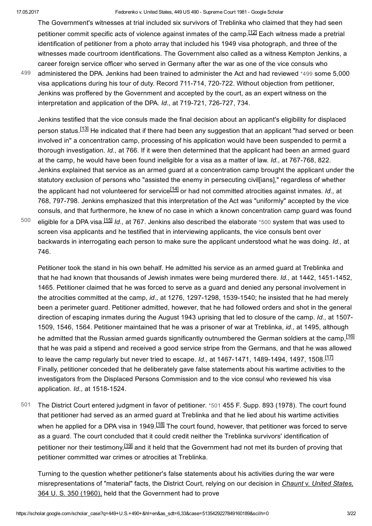[499](#page-2-0)

## 17.05.2017 Fedorenko v. United States, 449 US 490 Supreme Court 1981 Google Scholar

<span id="page-2-3"></span>The Government's witnesses at trial included six survivors of Treblinka who claimed that they had seen petitioner commit specific acts of violence against inmates of the camp.<sup>[\[12\]](#page-15-10)</sup> Each witness made a pretrial identification of petitioner from a photo array that included his 1949 visa photograph, and three of the witnesses made courtroom identifications. The Government also called as a witness Kempton Jenkins, a career foreign service officer who served in Germany after the war as one of the vice consuls who administered the DPA. Jenkins had been trained to administer the Act and had reviewed [\\*499](#page-2-0) some 5,000 visa applications during his tour of duty. Record 711-714, 720-722. Without objection from petitioner, Jenkins was proffered by the Government and accepted by the court, as an expert witness on the interpretation and application of the DPA. *Id.*, at 719-721, 726-727, 734.

<span id="page-2-5"></span><span id="page-2-4"></span><span id="page-2-0"></span>Jenkins testified that the vice consuls made the final decision about an applicant's eligibility for displaced person status.<sup>[\[13\]](#page-15-11)</sup> He indicated that if there had been any suggestion that an applicant "had served or been involved in" a concentration camp, processing of his application would have been suspended to permit a thorough investigation. Id., at 766. If it were then determined that the applicant had been an armed quard at the camp, he would have been found ineligible for a visa as a matter of law. Id., at 767-768, 822. Jenkins explained that service as an armed guard at a concentration camp brought the applicant under the statutory exclusion of persons who "assisted the enemy in persecuting civil[ians]," regardless of whether the applicant had not volunteered for service<sup>[\[14\]](#page-15-12)</sup> or had not committed atrocities against inmates. Id., at 768, 797-798. Jenkins emphasized that this interpretation of the Act was "uniformly" accepted by the vice consuls, and that furthermore, he knew of no case in which a known concentration camp guard was found eligible for a DPA visa.<sup>[\[15\]](#page-16-0)</sup> Id., at 767. Jenkins also described the elaborate [\\*500](#page-2-1) system that was used to screen visa applicants and he testified that in interviewing applicants, the vice consuls bent over backwards in interrogating each person to make sure the applicant understood what he was doing. Id., at 746.

[500](#page-2-1)

<span id="page-2-8"></span><span id="page-2-7"></span><span id="page-2-6"></span><span id="page-2-1"></span>Petitioner took the stand in his own behalf. He admitted his service as an armed guard at Treblinka and that he had known that thousands of Jewish inmates were being murdered there. Id., at 1442, 1451-1452, 1465. Petitioner claimed that he was forced to serve as a guard and denied any personal involvement in the atrocities committed at the camp, id., at 1276, 1297-1298, 1539-1540; he insisted that he had merely been a perimeter guard. Petitioner admitted, however, that he had followed orders and shot in the general direction of escaping inmates during the August 1943 uprising that led to closure of the camp. Id., at 1507-1509, 1546, 1564. Petitioner maintained that he was a prisoner of war at Treblinka, id., at 1495, although he admitted that the Russian armed guards significantly outnumbered the German soldiers at the camp,<sup>[\[16\]](#page-16-1)</sup> that he was paid a stipend and received a good service stripe from the Germans, and that he was allowed to leave the camp regularly but never tried to escape. *Id.,* at 1467-1471, 1489-1494, 1497, 1508.<sup>[\[17\]](#page-16-2)</sup> Finally, petitioner conceded that he deliberately gave false statements about his wartime activities to the investigators from the Displaced Persons Commission and to the vice consul who reviewed his visa application.  $Id.$ , at  $1518-1524.$ 

The District Court entered judgment in favor of petitioner. [\\*501](#page-2-2) 455 F. Supp. 893 (1978). The court found that petitioner had served as an armed guard at Treblinka and that he lied about his wartime activities when he applied for a DPA visa in 1949.<sup>[\[18\]](#page-16-3)</sup> The court found, however, that petitioner was forced to serve as a guard. The court concluded that it could credit neither the Treblinka survivors' identification of petitioner nor their testimony,<sup>[\[19\]](#page-16-4)</sup> and it held that the Government had not met its burden of proving that petitioner committed war crimes or atrocities at Treblinka. [501](#page-2-2)

<span id="page-2-10"></span><span id="page-2-9"></span><span id="page-2-2"></span>Turning to the question whether petitioner's false statements about his activities during the war were misrepresentations of "material" facts, the District Court, relying on our decision in Chaunt v. United States, 364 U. S. 350 (1960), held that the Government had to prove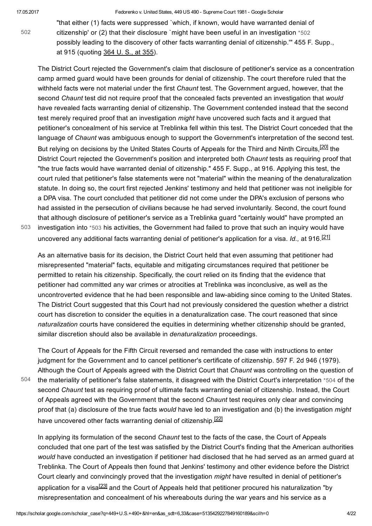[502](#page-3-0)

17.05.2017 Fedorenko v. United States, 449 US 490 Supreme Court 1981 Google Scholar

<span id="page-3-0"></span>"that either (1) facts were suppressed `which, if known, would have warranted denial of citizenship' or (2) that their disclosure `might have been useful in an investigation [\\*502](#page-3-0) possibly leading to the discovery of other facts warranting denial of citizenship.'" 455 F. Supp., at 915 (quoting 364 U. S., at 355).

<span id="page-3-3"></span>The District Court rejected the Government's claim that disclosure of petitioner's service as a concentration camp armed guard would have been grounds for denial of citizenship. The court therefore ruled that the withheld facts were not material under the first Chaunt test. The Government argued, however, that the second Chaunt test did not require proof that the concealed facts prevented an investigation that would have revealed facts warranting denial of citizenship. The Government contended instead that the second test merely required proof that an investigation might have uncovered such facts and it argued that petitioner's concealment of his service at Treblinka fell within this test. The District Court conceded that the language of Chaunt was ambiguous enough to support the Government's interpretation of the second test. But relying on decisions by the United States Courts of Appeals for the Third and Ninth Circuits, <sup>[\[20\]](#page-16-5)</sup> the District Court rejected the Government's position and interpreted both Chaunt tests as requiring proof that "the true facts would have warranted denial of citizenship." 455 F. Supp., at 916. Applying this test, the court ruled that petitioner's false statements were not "material" within the meaning of the denaturalization statute. In doing so, the court first rejected Jenkins' testimony and held that petitioner was not ineligible for a DPA visa. The court concluded that petitioner did not come under the DPA's exclusion of persons who had assisted in the persecution of civilians because he had served involuntarily. Second, the court found that although disclosure of petitioner's service as a Treblinka guard "certainly would" have prompted an investigation into [\\*503](#page-3-1) his activities, the Government had failed to prove that such an inquiry would have uncovered any additional facts warranting denial of petitioner's application for a visa. Id., at 916.<sup>[\[21\]](#page-16-6)</sup>

[503](#page-3-1)

<span id="page-3-4"></span><span id="page-3-1"></span>As an alternative basis for its decision, the District Court held that even assuming that petitioner had misrepresented "material" facts, equitable and mitigating circumstances required that petitioner be permitted to retain his citizenship. Specifically, the court relied on its finding that the evidence that petitioner had committed any war crimes or atrocities at Treblinka was inconclusive, as well as the uncontroverted evidence that he had been responsible and lawabiding since coming to the United States. The District Court suggested that this Court had not previously considered the question whether a district court has discretion to consider the equities in a denaturalization case. The court reasoned that since naturalization courts have considered the equities in determining whether citizenship should be granted, similar discretion should also be available in *denaturalization* proceedings.

[504](#page-3-2)

<span id="page-3-2"></span>The Court of Appeals for the Fifth Circuit reversed and remanded the case with instructions to enter judgment for the Government and to cancel petitioner's certificate of citizenship. 597 F. 2d 946 (1979). Although the Court of Appeals agreed with the District Court that Chaunt was controlling on the question of the materiality of petitioner's false statements, it disagreed with the District Court's interpretation [\\*504](#page-3-2) of the second Chaunt test as requiring proof of ultimate facts warranting denial of citizenship. Instead, the Court of Appeals agreed with the Government that the second Chaunt test requires only clear and convincing proof that (a) disclosure of the true facts would have led to an investigation and (b) the investigation might have uncovered other facts warranting denial of citizenship.<sup>[\[22\]](#page-16-7)</sup>

<span id="page-3-6"></span><span id="page-3-5"></span>In applying its formulation of the second *Chaunt* test to the facts of the case, the Court of Appeals concluded that one part of the test was satisfied by the District Court's finding that the American authorities would have conducted an investigation if petitioner had disclosed that he had served as an armed guard at Treblinka. The Court of Appeals then found that Jenkins' testimony and other evidence before the District Court clearly and convincingly proved that the investigation *might* have resulted in denial of petitioner's application for a visa<sup>[\[23\]](#page-16-8)</sup> and the Court of Appeals held that petitioner procured his naturalization "by misrepresentation and concealment of his whereabouts during the war years and his service as a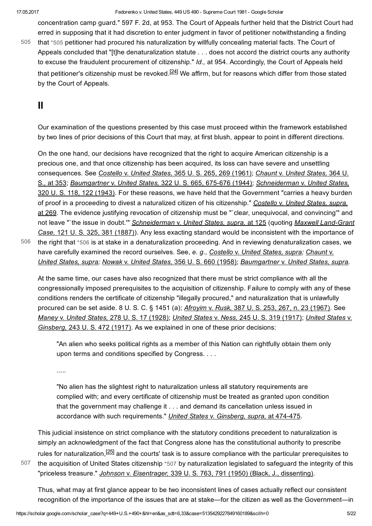<span id="page-4-0"></span>concentration camp guard." 597 F. 2d, at 953. The Court of Appeals further held that the District Court had erred in supposing that it had discretion to enter judgment in favor of petitioner notwithstanding a finding

that [\\*505](#page-4-0) petitioner had procured his naturalization by willfully concealing material facts. The Court of Appeals concluded that "[t]he denaturalization statute . . . does not accord the district courts any authority to excuse the fraudulent procurement of citizenship." Id., at 954. Accordingly, the Court of Appeals held that petitioner's citizenship must be revoked.<sup>[\[24\]](#page-16-9)</sup> We affirm, but for reasons which differ from those stated by the Court of Appeals. [505](#page-4-0)

# <span id="page-4-3"></span>II

Our examination of the questions presented by this case must proceed within the framework established by two lines of prior decisions of this Court that may, at first blush, appear to point in different directions.

On the one hand, our decisions have recognized that the right to acquire American citizenship is a precious one, and that once citizenship has been acquired, its loss can have severe and unsettling consequences. See Costello v. United States, 365 U. S. 265, 269 (1961); Chaunt v. United States, 364 U. S., at 353; Baumgartner v. United States, 322 U. S. 665, 675-676 (1944); Schneiderman v. United States, 320 U. S. 118, 122 (1943). For these reasons, we have held that the Government "carries a heavy burden of proof in a proceeding to divest a naturalized citizen of his citizenship." Costello v. United States, supra, at 269. The evidence justifying revocation of citizenship must be "`clear, unequivocal, and convincing'" and not leave "`the issue in doubt.'" Schneiderman v. United States, supra, at 125 (quoting Maxwell Land-Grant Case, 121 U. S. 325, 381 (1887)). Any less exacting standard would be inconsistent with the importance of the right that [\\*506](#page-4-1) is at stake in a denaturalization proceeding. And in reviewing denaturalization cases, we have carefully examined the record ourselves. See, e. q., Costello v. United States, supra; Chaunt v. United States, supra; Nowak v. United States, 356 U. S. 660 (1958); Baumgartner v. United States, supra. [506](#page-4-1)

<span id="page-4-1"></span>At the same time, our cases have also recognized that there must be strict compliance with all the congressionally imposed prerequisites to the acquisition of citizenship. Failure to comply with any of these conditions renders the certificate of citizenship "illegally procured," and naturalization that is unlawfully procured can be set aside. 8 U. S. C. § 1451 (a); Afrovim v. Rusk, 387 U. S. 253, 267, n. 23 (1967). See Maney v. United States, 278 U. S. 17 (1928); United States v. Ness, 245 U. S. 319 (1917); United States v. Ginsberg, 243 U. S. 472 (1917). As we explained in one of these prior decisions:

"An alien who seeks political rights as a member of this Nation can rightfully obtain them only upon terms and conditions specified by Congress. . . .

.....

"No alien has the slightest right to naturalization unless all statutory requirements are complied with; and every certificate of citizenship must be treated as granted upon condition that the government may challenge it . . . and demand its cancellation unless issued in accordance with such requirements." United States v. Ginsberg, supra, at 474-475.

<span id="page-4-4"></span>This judicial insistence on strict compliance with the statutory conditions precedent to naturalization is simply an acknowledgment of the fact that Congress alone has the constitutional authority to prescribe rules for naturalization,<sup>[\[25\]](#page-16-10)</sup> and the courts' task is to assure compliance with the particular prerequisites to the acquisition of United States citizenship [\\*507](#page-4-2) by naturalization legislated to safeguard the integrity of this "priceless treasure." Johnson v. Eisentrager, 339 U. S. 763, 791 (1950) (Black, J., dissenting).

[507](#page-4-2)

<span id="page-4-2"></span>Thus, what may at first glance appear to be two inconsistent lines of cases actually reflect our consistent recognition of the importance of the issues that are at stake—for the citizen as well as the Government—in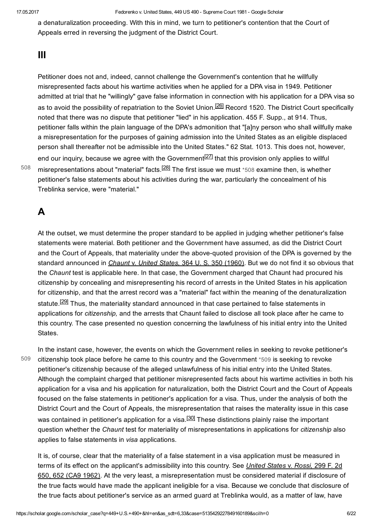a denaturalization proceeding. With this in mind, we turn to petitioner's contention that the Court of Appeals erred in reversing the judgment of the District Court.

# III

<span id="page-5-2"></span>Petitioner does not and, indeed, cannot challenge the Government's contention that he willfully misrepresented facts about his wartime activities when he applied for a DPA visa in 1949. Petitioner admitted at trial that he "willingly" gave false information in connection with his application for a DPA visa so as to avoid the possibility of repatriation to the Soviet Union.<sup>[\[26\]](#page-16-11)</sup> Record 1520. The District Court specifically noted that there was no dispute that petitioner "lied" in his application. 455 F. Supp., at 914. Thus, petitioner falls within the plain language of the DPA's admonition that "[a]ny person who shall willfully make a misrepresentation for the purposes of gaining admission into the United States as an eligible displaced person shall thereafter not be admissible into the United States." 62 Stat. 1013. This does not, however, end our inquiry, because we agree with the Government<sup>[\[27\]](#page-16-12)</sup> that this provision only applies to willful misrepresentations about "material" facts.<sup>[\[28\]](#page-16-13)</sup> The first issue we must [\\*508](#page-5-0) examine then, is whether petitioner's false statements about his activities during the war, particularly the concealment of his Treblinka service, were "material."

[508](#page-5-0)

# <span id="page-5-4"></span><span id="page-5-3"></span><span id="page-5-0"></span>A

At the outset, we must determine the proper standard to be applied in judging whether petitioner's false statements were material. Both petitioner and the Government have assumed, as did the District Court and the Court of Appeals, that materiality under the above-quoted provision of the DPA is governed by the standard announced in *Chaunt v. United States*, 364 U. S. 350 (1960). But we do not find it so obvious that the Chaunt test is applicable here. In that case, the Government charged that Chaunt had procured his citizenship by concealing and misrepresenting his record of arrests in the United States in his application for citizenship, and that the arrest record was a "material" fact within the meaning of the denaturalization statute.<sup>[\[29\]](#page-16-14)</sup> Thus, the materiality standard announced in that case pertained to false statements in applications for citizenship, and the arrests that Chaunt failed to disclose all took place after he came to this country. The case presented no question concerning the lawfulness of his initial entry into the United States.

[509](#page-5-1)

<span id="page-5-5"></span><span id="page-5-1"></span>In the instant case, however, the events on which the Government relies in seeking to revoke petitioner's citizenship took place before he came to this country and the Government [\\*509](#page-5-1) is seeking to revoke petitioner's citizenship because of the alleged unlawfulness of his initial entry into the United States. Although the complaint charged that petitioner misrepresented facts about his wartime activities in both his application for a visa and his application for naturalization, both the District Court and the Court of Appeals focused on the false statements in petitioner's application for a visa. Thus, under the analysis of both the District Court and the Court of Appeals, the misrepresentation that raises the materality issue in this case was contained in petitioner's application for a visa.<sup>[\[30\]](#page-16-15)</sup> These distinctions plainly raise the important question whether the *Chaunt* test for materiality of misrepresentations in applications for *citizenship* also applies to false statements in visa applications.

<span id="page-5-6"></span>It is, of course, clear that the materiality of a false statement in a visa application must be measured in terms of its effect on the applicant's admissibility into this country. See United States v. Rossi, 299 F. 2d 650, 652 (CA9 1962). At the very least, a misrepresentation must be considered material if disclosure of the true facts would have made the applicant ineligible for a visa. Because we conclude that disclosure of the true facts about petitioner's service as an armed guard at Treblinka would, as a matter of law, have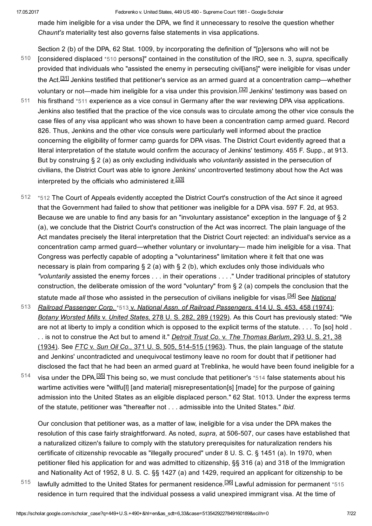made him ineligible for a visa under the DPA, we find it unnecessary to resolve the question whether Chaunt's materiality test also governs false statements in visa applications.

<span id="page-6-7"></span><span id="page-6-6"></span><span id="page-6-0"></span>Section 2 (b) of the DPA, 62 Stat. 1009, by incorporating the definition of "[p]ersons who will not be

- [considered displaced [\\*510](#page-6-0) persons]" contained in the constitution of the IRO, see n. 3, supra, specifically provided that individuals who "assisted the enemy in persecuting civil[ians]" were ineligible for visas under the Act.<sup>[\[31\]](#page-17-0)</sup> Jenkins testified that petitioner's service as an armed guard at a concentration camp—whether voluntary or not—made him ineligible for a visa under this provision.<sup>[\[32\]](#page-17-1)</sup> Jenkins' testimony was based on [510](#page-6-0)
- <span id="page-6-1"></span>his firsthand [\\*511](#page-6-1) experience as a vice consul in Germany after the war reviewing DPA visa applications. Jenkins also testified that the practice of the vice consuls was to circulate among the other vice consuls the case files of any visa applicant who was shown to have been a concentration camp armed guard. Record 826. Thus, Jenkins and the other vice consuls were particularly well informed about the practice concerning the eligibility of former camp guards for DPA visas. The District Court evidently agreed that a literal interpretation of the statute would confirm the accuracy of Jenkins' testimony. 455 F. Supp., at 913. But by construing § 2 (a) as only excluding individuals who voluntarily assisted in the persecution of civilians, the District Court was able to ignore Jenkins' uncontroverted testimony about how the Act was interpreted by the officials who administered it.<sup>[\[33\]](#page-17-2)</sup> [511](#page-6-1)
- <span id="page-6-8"></span><span id="page-6-2"></span>512 [\\*512](#page-6-2) The Court of Appeals evidently accepted the District Court's construction of the Act since it agreed that the Government had failed to show that petitioner was ineligible for a DPA visa. 597 F. 2d, at 953. Because we are unable to find any basis for an "involuntary assistance" exception in the language of § 2 (a), we conclude that the District Court's construction of the Act was incorrect. The plain language of the Act mandates precisely the literal interpretation that the District Court rejected: an individual's service as a concentration camp armed guard—whether voluntary or involuntary— made him ineligible for a visa. That Congress was perfectly capable of adopting a "voluntariness" limitation where it felt that one was necessary is plain from comparing  $\S 2$  (a) with  $\S 2$  (b), which excludes only those individuals who "voluntarily assisted the enemy forces . . . in their operations . . . ." Under traditional principles of statutory construction, the deliberate omission of the word "voluntary" from § 2 (a) compels the conclusion that the statute made *all* those who assisted in the persecution of civilians ineligible for visas.<sup>[\[34\]](#page-17-3)</sup> See <u>National</u>
- <span id="page-6-9"></span><span id="page-6-3"></span>Railroad Passenger Corp. [\\*513](#page-6-3) v. National Assn. of Railroad Passengers, 414 U. S. 453, 458 (1974); Botany Worsted Mills v. United States, 278 U. S. 282, 289 (1929). As this Court has previously stated: "We are not at liberty to imply a condition which is opposed to the explicit terms of the statute. . . . To [so] hold . .. is not to construe the Act but to amend it." Detroit Trust Co. v. The Thomas Barlum, 293 U. S. 21, 38 (1934). See FTC v. Sun Oil Co., 371 U. S. 505, 514-515 (1963). Thus, the plain language of the statute and Jenkins' uncontradicted and unequivocal testimony leave no room for doubt that if petitioner had disclosed the fact that he had been an armed guard at Treblinka, he would have been found ineligible for a [513](#page-6-3)
- <span id="page-6-10"></span>visa under the DPA.<sup>[\[35\]](#page-17-4)</sup> This being so, we must conclude that petitioner's [\\*514](#page-6-4) false statements about his wartime activities were "willfull] [and material] misrepresentation[s] [made] for the purpose of gaining admission into the United States as an eligible displaced person." 62 Stat. 1013. Under the express terms of the statute, petitioner was "thereafter not . . . admissible into the United States." Ibid. [514](#page-6-4)

<span id="page-6-11"></span><span id="page-6-5"></span><span id="page-6-4"></span>Our conclusion that petitioner was, as a matter of law, ineligible for a visa under the DPA makes the resolution of this case fairly straightforward. As noted, supra, at 506-507, our cases have established that a naturalized citizen's failure to comply with the statutory prerequisites for naturalization renders his certificate of citizenship revocable as "illegally procured" under 8 U. S. C. § 1451 (a). In 1970, when petitioner filed his application for and was admitted to citizenship, §§ 316 (a) and 318 of the Immigration and Nationality Act of 1952, 8 U. S. C. §§ 1427 (a) and 1429, required an applicant for citizenship to be

lawfully admitted to the United States for permanent residence.<sup>[\[36\]](#page-18-0)</sup> Lawful admission for permanent [\\*515](#page-6-5) residence in turn required that the individual possess a valid unexpired immigrant visa. At the time of [515](#page-6-5)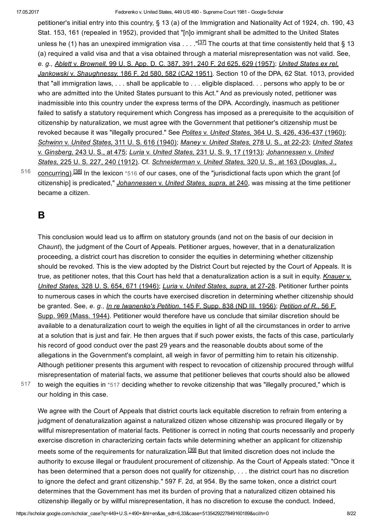<span id="page-7-2"></span>petitioner's initial entry into this country, § 13 (a) of the Immigration and Nationality Act of 1924, ch. 190, 43 Stat. 153, 161 (repealed in 1952), provided that "[n]o immigrant shall be admitted to the United States unless he (1) has an unexpired immigration visa  $\ldots$  ."<sup>[\[37\]](#page-18-1)</sup> The courts at that time consistently held that § 13 (a) required a valid visa and that a visa obtained through a material misrepresentation was not valid. See, e. g., Ablett v. Brownell, 99 U. S. App. D. C. 387, 391, 240 F. 2d 625, 629 (1957); United States ex rel. Jankowski v. Shaughnessy, 186 F. 2d 580, 582 (CA2 1951). Section 10 of the DPA, 62 Stat. 1013, provided that "all immigration laws, . . . shall be applicable to . . . eligible displaced. . . persons who apply to be or who are admitted into the United States pursuant to this Act." And as previously noted, petitioner was inadmissible into this country under the express terms of the DPA. Accordingly, inasmuch as petitioner failed to satisfy a statutory requirement which Congress has imposed as a prerequisite to the acquisition of citizenship by naturalization, we must agree with the Government that petitioner's citizenship must be revoked because it was "illegally procured." See Polites v. United States, 364 U. S. 426, 436-437 (1960); Schwinn v. United States, 311 U. S. 616 (1940); Maney v. United States, 278 U. S., at 22-23; United States v. Ginsberg, 243 U. S., at 475; Luria v. United States, 231 U. S. 9, 17 (1913); Johannessen v. United States, 225 U. S. 227, 240 (1912). Cf. Schneiderman v. United States, 320 U. S., at 163 (Douglas, J., concurring).<sup>[\[38\]](#page-18-2)</sup> In the lexicon [\\*516](#page-7-0) of our cases, one of the "jurisdictional facts upon which the grant [of citizenship] is predicated," Johannessen v. United States, supra, at 240, was missing at the time petitioner became a citizen.

<span id="page-7-0"></span>B

<span id="page-7-3"></span>[516](#page-7-0)

This conclusion would lead us to affirm on statutory grounds (and not on the basis of our decision in Chaunt), the judgment of the Court of Appeals. Petitioner argues, however, that in a denaturalization proceeding, a district court has discretion to consider the equities in determining whether citizenship should be revoked. This is the view adopted by the District Court but rejected by the Court of Appeals. It is true, as petitioner notes, that this Court has held that a denaturalization action is a suit in equity. Knauer v. United States, 328 U. S. 654, 671 (1946); Luria v. United States, supra, at 27-28. Petitioner further points to numerous cases in which the courts have exercised discretion in determining whether citizenship should be granted. See, e. g., In re Iwanenko's Petition, 145 F. Supp. 838 (ND III. 1956); Petition of R., 56 F. Supp. 969 (Mass. 1944). Petitioner would therefore have us conclude that similar discretion should be available to a denaturalization court to weigh the equities in light of all the circumstances in order to arrive at a solution that is just and fair. He then argues that if such power exists, the facts of this case, particularly his record of good conduct over the past 29 years and the reasonable doubts about some of the allegations in the Government's complaint, all weigh in favor of permitting him to retain his citizenship. Although petitioner presents this argument with respect to revocation of citizenship procured through willful misrepresentation of material facts, we assume that petitioner believes that courts should also be allowed to weigh the equities in [\\*517](#page-7-1) deciding whether to revoke citizenship that was "illegally procured," which is our holding in this case.

[517](#page-7-1)

<span id="page-7-4"></span><span id="page-7-1"></span>We agree with the Court of Appeals that district courts lack equitable discretion to refrain from entering a judgment of denaturalization against a naturalized citizen whose citizenship was procured illegally or by willful misrepresentation of material facts. Petitioner is correct in noting that courts necessarily and properly exercise discretion in characterizing certain facts while determining whether an applicant for citizenship meets some of the requirements for naturalization.<sup>[\[39\]](#page-18-3)</sup> But that limited discretion does not include the authority to excuse illegal or fraudulent procurement of citizenship. As the Court of Appeals stated: "Once it has been determined that a person does not qualify for citizenship. . . . the district court has no discretion to ignore the defect and grant citizenship." 597 F. 2d, at 954. By the same token, once a district court determines that the Government has met its burden of proving that a naturalized citizen obtained his citizenship illegally or by willful misrepresentation, it has no discretion to excuse the conduct. Indeed,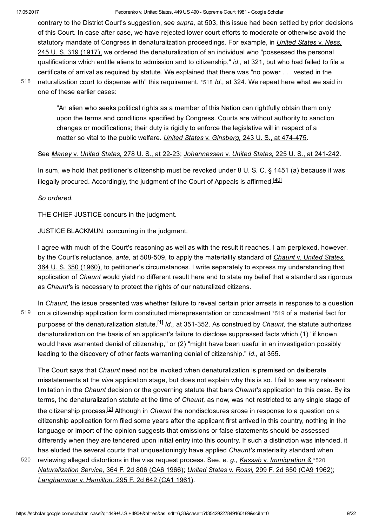contrary to the District Court's suggestion, see supra, at 503, this issue had been settled by prior decisions of this Court. In case after case, we have rejected lower court efforts to moderate or otherwise avoid the statutory mandate of Congress in denaturalization proceedings. For example, in *United States v. Ness*, 245 U. S. 319 (1917), we ordered the denaturalization of an individual who "possessed the personal qualifications which entitle aliens to admission and to citizenship," id., at 321, but who had failed to file a certificate of arrival as required by statute. We explained that there was "no power . . . vested in the naturalization court to dispense with" this requirement. [\\*518](#page-8-0) *Id.*, at 324. We repeat here what we said in

- [518](#page-8-0)
	- one of these earlier cases:

<span id="page-8-3"></span><span id="page-8-0"></span>"An alien who seeks political rights as a member of this Nation can rightfully obtain them only upon the terms and conditions specified by Congress. Courts are without authority to sanction changes or modifications; their duty is rigidly to enforce the legislative will in respect of a matter so vital to the public welfare. *United States v. Ginsberg, 243 U. S., at 474-475.* 

## See Maney v. United States, 278 U. S., at 22-23; Johannessen v. United States, 225 U. S., at 241-242.

In sum, we hold that petitioner's citizenship must be revoked under 8 U. S. C. § 1451 (a) because it was illegally procured. Accordingly, the judgment of the Court of Appeals is affirmed.<sup>[\[40\]](#page-18-4)</sup>

So ordered.

THE CHIEF JUSTICE concurs in the judgment.

JUSTICE BLACKMUN, concurring in the judgment.

I agree with much of the Court's reasoning as well as with the result it reaches. I am perplexed, however, by the Court's reluctance, ante, at 508-509, to apply the materiality standard of Chaunt v. United States, 364 U. S. 350 (1960), to petitioner's circumstances. I write separately to express my understanding that application of Chaunt would yield no different result here and to state my belief that a standard as rigorous as Chaunt's is necessary to protect the rights of our naturalized citizens.

In Chaunt, the issue presented was whether failure to reveal certain prior arrests in response to a question on a citizenship application form constituted misrepresentation or concealment [\\*519](#page-8-1) of a material fact for purposes of the denaturalization statute.<sup>[\[1\]](#page-18-5)</sup> Id., at 351-352. As construed by Chaunt, the statute authorizes denaturalization on the basis of an applicant's failure to disclose suppressed facts which (1) "if known, would have warranted denial of citizenship," or (2) "might have been useful in an investigation possibly leading to the discovery of other facts warranting denial of citizenship." Id., at 355. [519](#page-8-1)

<span id="page-8-5"></span><span id="page-8-4"></span><span id="page-8-2"></span><span id="page-8-1"></span>The Court says that *Chaunt* need not be invoked when denaturalization is premised on deliberate misstatements at the *visa* application stage, but does not explain why this is so. I fail to see any relevant limitation in the Chaunt decision or the governing statute that bars Chaunt's application to this case. By its terms, the denaturalization statute at the time of *Chaunt*, as now, was not restricted to any single stage of the citizenship process.<sup>[\[2\]](#page-18-6)</sup> Although in *Chaunt* the nondisclosures arose in response to a question on a citizenship application form filed some years after the applicant first arrived in this country, nothing in the language or import of the opinion suggests that omissions or false statements should be assessed differently when they are tendered upon initial entry into this country. If such a distinction was intended, it has eluded the several courts that unquestioningly have applied *Chaunt's* materiality standard when

reviewing alleged distortions in the visa request process. See, e. g., Kassab v. Immigration  $\&$  [\\*520](#page-8-2) Naturalization Service, 364 F. 2d 806 (CA6 1966); United States v. Rossi, 299 F. 2d 650 (CA9 1962); Langhammer v. Hamilton, 295 F. 2d 642 (CA1 1961). [520](#page-8-2)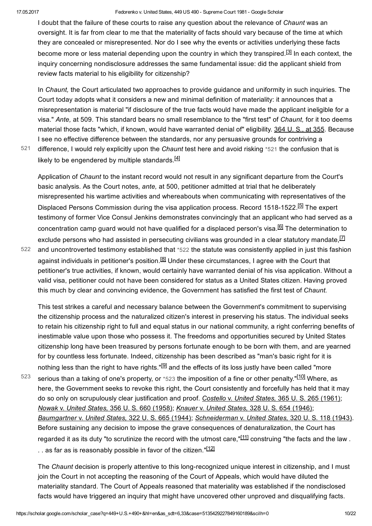<span id="page-9-3"></span>I doubt that the failure of these courts to raise any question about the relevance of Chaunt was an oversight. It is far from clear to me that the materiality of facts should vary because of the time at which they are concealed or misrepresented. Nor do I see why the events or activities underlying these facts become more or less material depending upon the country in which they transpired.<sup>[\[3\]](#page-18-7)</sup> In each context, the inquiry concerning nondisclosure addresses the same fundamental issue: did the applicant shield from review facts material to his eligibility for citizenship?

In Chaunt, the Court articulated two approaches to provide guidance and uniformity in such inquiries. The Court today adopts what it considers a new and minimal definition of materiality: it announces that a misrepresentation is material "if disclosure of the true facts would have made the applicant ineligible for a visa." Ante, at 509. This standard bears no small resemblance to the "first test" of Chaunt, for it too deems material those facts "which, if known, would have warranted denial of" eligibility. 364 U. S., at 355. Because I see no effective difference between the standards, nor any persuasive grounds for contriving a

[521](#page-9-0)

[522](#page-9-1)

difference, I would rely explicitly upon the Chaunt test here and avoid risking [\\*521](#page-9-0) the confusion that is likely to be engendered by multiple standards.  $[4]$ 

<span id="page-9-7"></span><span id="page-9-6"></span><span id="page-9-5"></span><span id="page-9-4"></span><span id="page-9-0"></span>Application of Chaunt to the instant record would not result in any significant departure from the Court's basic analysis. As the Court notes, ante, at 500, petitioner admitted at trial that he deliberately misrepresented his wartime activities and whereabouts when communicating with representatives of the Displaced Persons Commission during the visa application process. Record 1518-1522.<sup>[\[5\]](#page-18-9)</sup> The expert testimony of former Vice Consul Jenkins demonstrates convincingly that an applicant who had served as a concentration camp guard would not have qualified for a displaced person's visa.<sup>[\[6\]](#page-18-10)</sup> The determination to exclude persons who had assisted in persecuting civilians was grounded in a clear statutory mandate, $^{[7]}$  $^{[7]}$  $^{[7]}$ and uncontroverted testimony established that [\\*522](#page-9-1) the statute was consistently applied in just this fashion against individuals in petitioner's position.<sup>[\[8\]](#page-19-0)</sup> Under these circumstances, I agree with the Court that

<span id="page-9-8"></span><span id="page-9-1"></span>petitioner's true activities, if known, would certainly have warranted denial of his visa application. Without a valid visa, petitioner could not have been considered for status as a United States citizen. Having proved this much by clear and convincing evidence, the Government has satisfied the first test of Chaunt.

<span id="page-9-10"></span><span id="page-9-9"></span>This test strikes a careful and necessary balance between the Government's commitment to supervising the citizenship process and the naturalized citizen's interest in preserving his status. The individual seeks to retain his citizenship right to full and equal status in our national community, a right conferring benefits of inestimable value upon those who possess it. The freedoms and opportunities secured by United States citizenship long have been treasured by persons fortunate enough to be born with them, and are yearned for by countless less fortunate. Indeed, citizenship has been described as "man's basic right for it is nothing less than the right to have rights."<sup>[\[9\]](#page-19-1)</sup> and the effects of its loss justly have been called "more

<span id="page-9-2"></span>serious than a taking of one's property, or [\\*523](#page-9-2) the imposition of a fine or other penalty."<sup>[\[10\]](#page-19-2)</sup> Where, as here, the Government seeks to revoke this right, the Court consistently and forcefully has held that it may do so only on scrupulously clear justification and proof. Costello v. United States, 365 U. S. 265 (1961); Nowak v. United States, 356 U. S. 660 (1958); Knauer v. United States, 328 U. S. 654 (1946); Baumgartner v. United States, 322 U. S. 665 (1944); Schneiderman v. United States, 320 U. S. 118 (1943). Before sustaining any decision to impose the grave consequences of denaturalization, the Court has regarded it as its duty "to scrutinize the record with the utmost care,"<sup>[\[11\]](#page-19-3)</sup> construing "the facts and the law . .. as far as is reasonably possible in favor of the citizen." $[12]$ [523](#page-9-2)

<span id="page-9-12"></span><span id="page-9-11"></span>The Chaunt decision is properly attentive to this long-recognized unique interest in citizenship, and I must join the Court in not accepting the reasoning of the Court of Appeals, which would have diluted the materiality standard. The Court of Appeals reasoned that materiality was established if the nondisclosed facts would have triggered an inquiry that might have uncovered other unproved and disqualifying facts.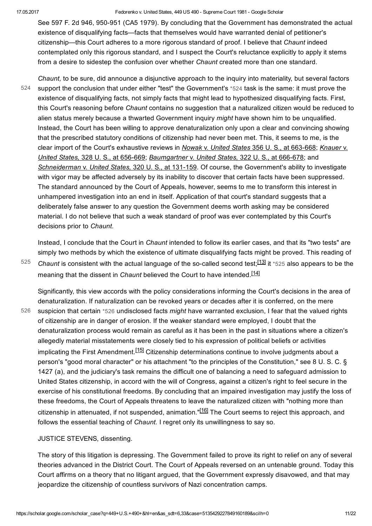See 597 F. 2d 946, 950-951 (CA5 1979). By concluding that the Government has demonstrated the actual existence of disqualifying facts—facts that themselves would have warranted denial of petitioner's citizenship—this Court adheres to a more rigorous standard of proof. I believe that Chaunt indeed contemplated only this rigorous standard, and I suspect the Court's reluctance explicitly to apply it stems from a desire to sidestep the confusion over whether Chaunt created more than one standard.

[524](#page-10-0)

<span id="page-10-0"></span>Chaunt, to be sure, did announce a disjunctive approach to the inquiry into materiality, but several factors support the conclusion that under either "test" the Government's [\\*524](#page-10-0) task is the same: it must prove the existence of disqualifying facts, not simply facts that might lead to hypothesized disqualifying facts. First, this Court's reasoning before *Chaunt* contains no suggestion that a naturalized citizen would be reduced to alien status merely because a thwarted Government inquiry *might* have shown him to be unqualified. Instead, the Court has been willing to approve denaturalization only upon a clear and convincing showing that the prescribed statutory conditions of citizenship had never been met. This, it seems to me, is the clear import of the Court's exhaustive reviews in Nowak v. United States 356 U. S., at 663-668; Knauer v. United States, 328 U. S., at 656-669; Baumgartner v. United States, 322 U. S., at 666-678; and Schneiderman v. United States, 320 U. S., at 131-159. Of course, the Government's ability to investigate with vigor may be affected adversely by its inability to discover that certain facts have been suppressed. The standard announced by the Court of Appeals, however, seems to me to transform this interest in unhampered investigation into an end in itself. Application of that court's standard suggests that a deliberately false answer to any question the Government deems worth asking may be considered material. I do not believe that such a weak standard of proof was ever contemplated by this Court's decisions prior to Chaunt.

[525](#page-10-1)

<span id="page-10-4"></span><span id="page-10-3"></span><span id="page-10-1"></span>Instead, I conclude that the Court in Chaunt intended to follow its earlier cases, and that its "two tests" are simply two methods by which the existence of ultimate disqualifying facts might be proved. This reading of Chaunt is consistent with the actual language of the so-called second test;  $13$  it [\\*525](#page-10-1) also appears to be the meaning that the dissent in *Chaunt* believed the Court to have intended.<sup>[\[14\]](#page-19-6)</sup>

<span id="page-10-5"></span><span id="page-10-2"></span>Significantly, this view accords with the policy considerations informing the Court's decisions in the area of denaturalization. If naturalization can be revoked years or decades after it is conferred, on the mere suspicion that certain [\\*526](#page-10-2) undisclosed facts *might* have warranted exclusion, I fear that the valued rights of citizenship are in danger of erosion. If the weaker standard were employed, I doubt that the denaturalization process would remain as careful as it has been in the past in situations where a citizen's allegedly material misstatements were closely tied to his expression of political beliefs or activities implicating the First Amendment.<sup>[\[15\]](#page-19-7)</sup> Citizenship determinations continue to involve judgments about a person's "good moral character" or his attachment "to the principles of the Constitution," see 8 U. S. C. § 1427 (a), and the judiciary's task remains the difficult one of balancing a need to safeguard admission to United States citizenship, in accord with the will of Congress, against a citizen's right to feel secure in the exercise of his constitutional freedoms. By concluding that an impaired investigation may justify the loss of these freedoms, the Court of Appeals threatens to leave the naturalized citizen with "nothing more than citizenship in attenuated, if not suspended, animation."<sup>[\[16\]](#page-19-8)</sup> The Court seems to reject this approach, and follows the essential teaching of Chaunt. I regret only its unwillingness to say so. [526](#page-10-2)

# <span id="page-10-6"></span>JUSTICE STEVENS, dissenting.

The story of this litigation is depressing. The Government failed to prove its right to relief on any of several theories advanced in the District Court. The Court of Appeals reversed on an untenable ground. Today this Court affirms on a theory that no litigant argued, that the Government expressly disavowed, and that may jeopardize the citizenship of countless survivors of Nazi concentration camps.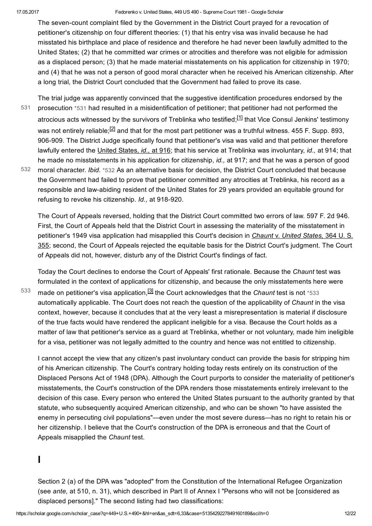The seven-count complaint filed by the Government in the District Court prayed for a revocation of petitioner's citizenship on four different theories: (1) that his entry visa was invalid because he had misstated his birthplace and place of residence and therefore he had never been lawfully admitted to the United States; (2) that he committed war crimes or atrocities and therefore was not eligible for admission as a displaced person; (3) that he made material misstatements on his application for citizenship in 1970; and (4) that he was not a person of good moral character when he received his American citizenship. After a long trial, the District Court concluded that the Government had failed to prove its case.

<span id="page-11-4"></span><span id="page-11-3"></span><span id="page-11-0"></span>The trial judge was apparently convinced that the suggestive identification procedures endorsed by the prosecution [\\*531](#page-11-0) had resulted in a misidentification of petitioner; that petitioner had not performed the atrocious acts witnessed by the survivors of Treblinka who testified;<sup>[\[1\]](#page-19-9)</sup> that Vice Consul Jenkins' testimony was not entirely reliable;<sup>[\[2\]](#page-19-10)</sup> and that for the most part petitioner was a truthful witness. 455 F. Supp. 893, 906-909. The District Judge specifically found that petitioner's visa was valid and that petitioner therefore lawfully entered the United States, id., at 916; that his service at Treblinka was involuntary, id., at 914; that he made no misstatements in his application for citizenship, *id.*, at 917; and that he was a person of good moral character. Ibid. [\\*532](#page-11-1) As an alternative basis for decision, the District Court concluded that because the Government had failed to prove that petitioner committed any atrocities at Treblinka, his record as a responsible and law-abiding resident of the United States for 29 years provided an equitable ground for refusing to revoke his citizenship. Id., at 918-920. [531](#page-11-0) [532](#page-11-1)

<span id="page-11-1"></span>The Court of Appeals reversed, holding that the District Court committed two errors of law. 597 F. 2d 946. First, the Court of Appeals held that the District Court in assessing the materiality of the misstatement in petitioner's 1949 visa application had misapplied this Court's decision in *Chaunt v. United States*, 364 U. S. 355; second, the Court of Appeals rejected the equitable basis for the District Court's judgment. The Court of Appeals did not, however, disturb any of the District Court's findings of fact.

<span id="page-11-5"></span><span id="page-11-2"></span>Today the Court declines to endorse the Court of Appeals' first rationale. Because the Chaunt test was formulated in the context of applications for citizenship, and because the only misstatements here were

made on petitioner's visa application,<sup>[\[3\]](#page-20-0)</sup> the Court acknowledges that the Chaunt test is not [\\*533](#page-11-2) automatically applicable. The Court does not reach the question of the applicability of Chaunt in the visa context, however, because it concludes that at the very least a misrepresentation is material if disclosure of the true facts would have rendered the applicant ineligible for a visa. Because the Court holds as a matter of law that petitioner's service as a guard at Treblinka, whether or not voluntary, made him ineligible for a visa, petitioner was not legally admitted to the country and hence was not entitled to citizenship. [533](#page-11-2)

I cannot accept the view that any citizen's past involuntary conduct can provide the basis for stripping him of his American citizenship. The Court's contrary holding today rests entirely on its construction of the Displaced Persons Act of 1948 (DPA). Although the Court purports to consider the materiality of petitioner's misstatements, the Court's construction of the DPA renders those misstatements entirely irrelevant to the decision of this case. Every person who entered the United States pursuant to the authority granted by that statute, who subsequently acquired American citizenship, and who can be shown "to have assisted the enemy in persecuting civil populations"—even under the most severe duress—has no right to retain his or her citizenship. I believe that the Court's construction of the DPA is erroneous and that the Court of Appeals misapplied the Chaunt test.

# I

Section 2 (a) of the DPA was "adopted" from the Constitution of the International Refugee Organization (see ante, at 510, n. 31), which described in Part II of Annex I "Persons who will not be [considered as displaced persons]." The second listing had two classifications: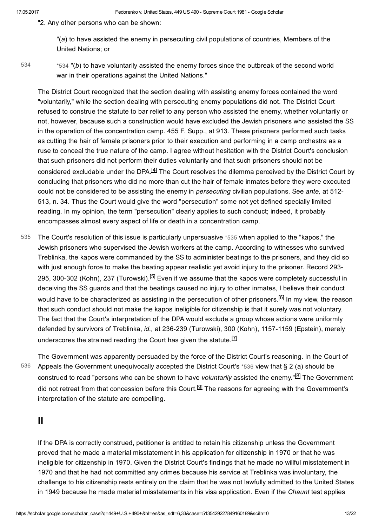"2. Any other persons who can be shown:

"(a) to have assisted the enemy in persecuting civil populations of countries, Members of the United Nations; or

[534](#page-12-0)

<span id="page-12-0"></span>[\\*534](#page-12-0) "(b) to have voluntarily assisted the enemy forces since the outbreak of the second world war in their operations against the United Nations."

<span id="page-12-3"></span>The District Court recognized that the section dealing with assisting enemy forces contained the word "voluntarily," while the section dealing with persecuting enemy populations did not. The District Court refused to construe the statute to bar relief to any person who assisted the enemy, whether voluntarily or not, however, because such a construction would have excluded the Jewish prisoners who assisted the SS in the operation of the concentration camp. 455 F. Supp., at 913. These prisoners performed such tasks as cutting the hair of female prisoners prior to their execution and performing in a camp orchestra as a ruse to conceal the true nature of the camp. I agree without hesitation with the District Court's conclusion that such prisoners did not perform their duties voluntarily and that such prisoners should not be considered excludable under the DPA.<sup>[\[4\]](#page-20-1)</sup> The Court resolves the dilemma perceived by the District Court by concluding that prisoners who did no more than cut the hair of female inmates before they were executed could not be considered to be assisting the enemy in *persecuting* civilian populations. See ante, at 512-513, n. 34. Thus the Court would give the word "persecution" some not yet defined specially limited reading. In my opinion, the term "persecution" clearly applies to such conduct; indeed, it probably encompasses almost every aspect of life or death in a concentration camp.

<span id="page-12-4"></span><span id="page-12-1"></span>The Court's resolution of this issue is particularly unpersuasive [\\*535](#page-12-1) when applied to the "kapos," the Jewish prisoners who supervised the Jewish workers at the camp. According to witnesses who survived Treblinka, the kapos were commanded by the SS to administer beatings to the prisoners, and they did so with just enough force to make the beating appear realistic yet avoid injury to the prisoner. Record 293-295, 300-302 (Kohn), 237 (Turowski).<sup>[\[5\]](#page-20-2)</sup> Even if we assume that the kapos were completely successful in deceiving the SS guards and that the beatings caused no injury to other inmates, I believe their conduct would have to be characterized as assisting in the persecution of other prisoners.<sup>[\[6\]](#page-20-3)</sup> In my view, the reason that such conduct should not make the kapos ineligible for citizenship is that it surely was not voluntary. The fact that the Court's interpretation of the DPA would exclude a group whose actions were uniformly defended by survivors of Treblinka, id., at 236-239 (Turowski), 300 (Kohn), 1157-1159 (Epstein), merely underscores the strained reading the Court has given the statute.<sup>[\[7\]](#page-20-4)</sup> [535](#page-12-1)

[536](#page-12-2)

<span id="page-12-6"></span><span id="page-12-5"></span>The Government was apparently persuaded by the force of the District Court's reasoning. In the Court of Appeals the Government unequivocally accepted the District Court's [\\*536](#page-12-2) view that § 2 (a) should be construed to read "persons who can be shown to have *voluntarily* assisted the enemy."<sup>[\[8\]](#page-20-5)</sup> The Government did not retreat from that concession before this Court.<sup>[\[9\]](#page-20-6)</sup> The reasons for agreeing with the Government's interpretation of the statute are compelling.

# <span id="page-12-8"></span><span id="page-12-7"></span><span id="page-12-2"></span>II

If the DPA is correctly construed, petitioner is entitled to retain his citizenship unless the Government proved that he made a material misstatement in his application for citizenship in 1970 or that he was ineligible for citizenship in 1970. Given the District Court's findings that he made no willful misstatement in 1970 and that he had not committed any crimes because his service at Treblinka was involuntary, the challenge to his citizenship rests entirely on the claim that he was not lawfully admitted to the United States in 1949 because he made material misstatements in his visa application. Even if the Chaunt test applies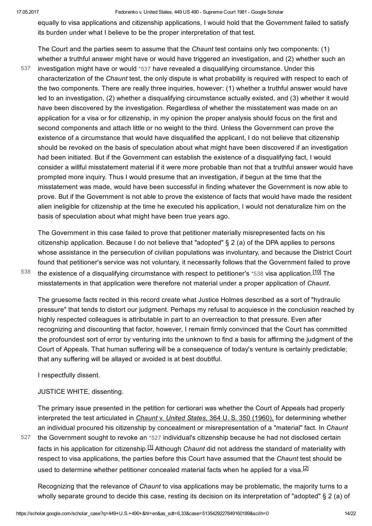equally to visa applications and citizenship applications, I would hold that the Government failed to satisfy its burden under what I believe to be the proper interpretation of that test.

<span id="page-13-0"></span>The Court and the parties seem to assume that the Chaunt test contains only two components: (1)

[537](#page-13-0)

[538](#page-13-1)

whether a truthful answer might have or would have triggered an investigation, and (2) whether such an investigation might have or would [\\*537](#page-13-0) have revealed a disqualifying circumstance. Under this characterization of the Chaunt test, the only dispute is what probability is required with respect to each of the two components. There are really three inquiries, however: (1) whether a truthful answer would have led to an investigation, (2) whether a disqualifying circumstance actually existed, and (3) whether it would have been discovered by the investigation. Regardless of whether the misstatement was made on an application for a visa or for citizenship, in my opinion the proper analysis should focus on the first and second components and attach little or no weight to the third. Unless the Government can prove the existence of a circumstance that would have disqualified the applicant, I do not believe that citizenship should be revoked on the basis of speculation about what might have been discovered if an investigation had been initiated. But if the Government can establish the existence of a disqualifying fact, I would consider a willful misstatement material if it were more probable than not that a truthful answer would have prompted more inquiry. Thus I would presume that an investigation, if begun at the time that the misstatement was made, would have been successful in finding whatever the Government is now able to prove. But if the Government is not able to prove the existence of facts that would have made the resident alien ineligible for citizenship at the time he executed his application, I would not denaturalize him on the basis of speculation about what might have been true years ago.

The Government in this case failed to prove that petitioner materially misrepresented facts on his citizenship application. Because I do not believe that "adopted" § 2 (a) of the DPA applies to persons whose assistance in the persecution of civilian populations was involuntary, and because the District Court found that petitioner's service was not voluntary, it necessarily follows that the Government failed to prove the existence of a disqualifying circumstance with respect to petitioner's [\\*538](#page-13-1) visa application.<sup>[\[10\]](#page-20-7)</sup> The

<span id="page-13-3"></span><span id="page-13-1"></span>misstatements in that application were therefore not material under a proper application of Chaunt.

The gruesome facts recited in this record create what Justice Holmes described as a sort of "hydraulic pressure" that tends to distort our judgment. Perhaps my refusal to acquiesce in the conclusion reached by highly respected colleagues is attributable in part to an overreaction to that pressure. Even after recognizing and discounting that factor, however, I remain firmly convinced that the Court has committed the profoundest sort of error by venturing into the unknown to find a basis for affirming the judgment of the Court of Appeals. That human suffering will be a consequence of today's venture is certainly predictable; that any suffering will be allayed or avoided is at best doubtful.

I respectfully dissent.

## <span id="page-13-2"></span>JUSTICE WHITE, dissenting.

The primary issue presented in the petition for certiorari was whether the Court of Appeals had properly interpreted the test articulated in *Chaunt v. United States*, 364 U. S. 350 (1960), for determining whether an individual procured his citizenship by concealment or misrepresentation of a "material" fact. In Chaunt the Government sought to revoke an [\\*527](#page-13-2) individual's citizenship because he had not disclosed certain facts in his application for citizenship.<sup>[\[1\]](#page-20-8)</sup> Although *Chaunt* did not address the standard of materiality with respect to visa applications, the parties before this Court have assumed that the Chaunt test should be used to determine whether petitioner concealed material facts when he applied for a visa.<sup>[\[2\]](#page-20-9)</sup> [527](#page-13-2)

<span id="page-13-5"></span><span id="page-13-4"></span>Recognizing that the relevance of *Chaunt* to visa applications may be problematic, the majority turns to a wholly separate ground to decide this case, resting its decision on its interpretation of "adopted" § 2 (a) of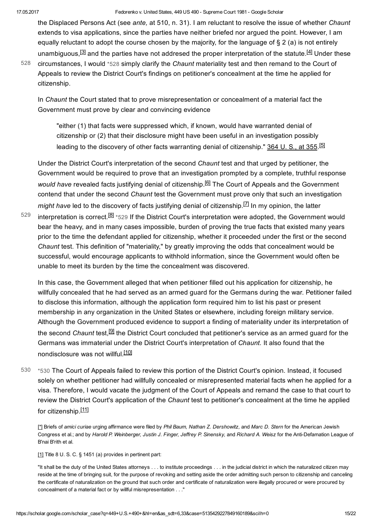<span id="page-14-5"></span>the Displaced Persons Act (see ante, at 510, n. 31). I am reluctant to resolve the issue of whether Chaunt extends to visa applications, since the parties have neither briefed nor argued the point. However, I am equally reluctant to adopt the course chosen by the majority, for the language of § 2 (a) is not entirely unambiguous,<sup>[\[3\]](#page-20-10)</sup> and the parties have not addresed the proper interpretation of the statute.<sup>[\[4\]](#page-20-11)</sup> Under these

circumstances, I would [\\*528](#page-14-2) simply clarify the Chaunt materiality test and then remand to the Court of Appeals to review the District Court's findings on petitioner's concealment at the time he applied for citizenship. [528](#page-14-2)

<span id="page-14-2"></span>In Chaunt the Court stated that to prove misrepresentation or concealment of a material fact the Government must prove by clear and convincing evidence

<span id="page-14-9"></span><span id="page-14-8"></span><span id="page-14-7"></span><span id="page-14-6"></span>"either (1) that facts were suppressed which, if known, would have warranted denial of citizenship or (2) that their disclosure might have been useful in an investigation possibly leading to the discovery of other facts warranting denial of citizenship." <u>364 U. S., at 355</u>.<sup>[\[5\]](#page-20-12)</sup>

Under the District Court's interpretation of the second Chaunt test and that urged by petitioner, the Government would be required to prove that an investigation prompted by a complete, truthful response would have revealed facts justifying denial of citizenship.<sup>[\[6\]](#page-20-13)</sup> The Court of Appeals and the Government contend that under the second Chaunt test the Government must prove only that such an investigation *might have* led to the discovery of facts justifying denial of citizenship.<sup>[Z]</sup> In my opinion, the latter

<span id="page-14-10"></span><span id="page-14-3"></span>interpretation is correct.<sup>[\[8\]](#page-21-0)</sup> [\\*529](#page-14-3) If the District Court's interpretation were adopted, the Government would bear the heavy, and in many cases impossible, burden of proving the true facts that existed many years prior to the time the defendant applied for citizenship, whether it proceeded under the first or the second Chaunt test. This definition of "materiality," by greatly improving the odds that concealment would be successful, would encourage applicants to withhold information, since the Government would often be unable to meet its burden by the time the concealment was discovered. [529](#page-14-3)

<span id="page-14-11"></span>In this case, the Government alleged that when petitioner filled out his application for citizenship, he willfully concealed that he had served as an armed guard for the Germans during the war. Petitioner failed to disclose this information, although the application form required him to list his past or present membership in any organization in the United States or elsewhere, including foreign military service. Although the Government produced evidence to support a finding of materiality under its interpretation of the second *Chaunt* test,<sup>[<u>9</u>]</sup> the District Court concluded that petitioner's service as an armed guard for the Germans was immaterial under the District Court's interpretation of Chaunt. It also found that the nondisclosure was not willful.<sup>[\[10\]](#page-21-2)</sup>

<span id="page-14-12"></span><span id="page-14-4"></span>[\\*530](#page-14-4) The Court of Appeals failed to review this portion of the District Court's opinion. Instead, it focused solely on whether petitioner had willfully concealed or misrepresented material facts when he applied for a visa. Therefore, I would vacate the judgment of the Court of Appeals and remand the case to that court to review the District Court's application of the Chaunt test to petitioner's concealment at the time he applied for citizenship.<sup>[\[11\]](#page-21-3)</sup> [530](#page-14-4)

<span id="page-14-13"></span><span id="page-14-0"></span>[\[\\*\]](#page-0-3) Briefs of amici curiae urging affirmance were filed by Phil Baum, Nathan Z. Dershowitz, and Marc D. Stern for the American Jewish Congress et al.; and by Harold P. Weinberger, Justin J. Finger, Jeffrey P. Sinensky, and Richard A. Weisz for the Anti-Defamation League of B'nai B'rith et al.

<span id="page-14-1"></span>[\[1\]](#page-0-4) Title 8 U. S. C. § 1451 (a) provides in pertinent part:

"It shall be the duty of the United States attorneys . . . to institute proceedings . . . in the judicial district in which the naturalized citizen may reside at the time of bringing suit, for the purpose of revoking and setting aside the order admitting such person to citizenship and canceling the certificate of naturalization on the ground that such order and certificate of naturalization were illegally procured or were procured by concealment of a material fact or by willful misrepresentation . . ."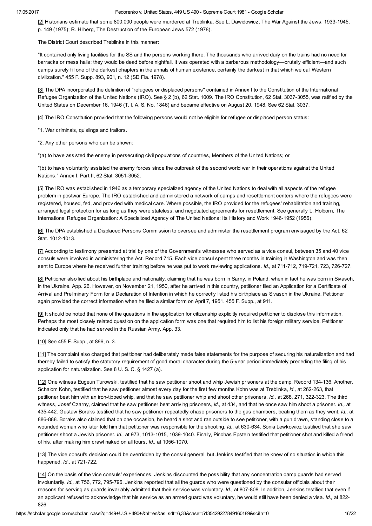<span id="page-15-0"></span>[\[2\]](#page-0-5) Historians estimate that some 800,000 people were murdered at Treblinka. See L. Dawidowicz, The War Against the Jews, 1933-1945, p. 149 (1975); R. Hilberg, The Destruction of the European Jews 572 (1978).

The District Court described Treblinka in this manner:

"It contained only living facilities for the SS and the persons working there. The thousands who arrived daily on the trains had no need for barracks or mess halls: they would be dead before nightfall. It was operated with a barbarous methodology—brutally efficient—and such camps surely fill one of the darkest chapters in the annals of human existence, certainly the darkest in that which we call Western civilization." 455 F. Supp. 893, 901, n. 12 (SD Fla. 1978).

<span id="page-15-1"></span>[\[3\]](#page-1-4) The DPA incorporated the definition of "refugees or displaced persons" contained in Annex I to the Constitution of the International Refugee Organization of the United Nations (IRO). See § 2 (b), 62 Stat. 1009. The IRO Constitution, 62 Stat. 30373055, was ratified by the United States on December 16, 1946 (T. I. A. S. No. 1846) and became effective on August 20, 1948. See 62 Stat. 3037.

<span id="page-15-2"></span>[\[4\]](#page-1-5) The IRO Constitution provided that the following persons would not be eligible for refugee or displaced person status:

"1. War criminals, quislings and traitors.

"2. Any other persons who can be shown:

"(a) to have assisted the enemy in persecuting civil populations of countries, Members of the United Nations; or

"(b) to have voluntarily assisted the enemy forces since the outbreak of the second world war in their operations against the United Nations." Annex I, Part II, 62 Stat. 3051-3052.

<span id="page-15-3"></span>[\[5\]](#page-1-6) The IRO was established in 1946 as a temporary specialized agency of the United Nations to deal with all aspects of the refugee problem in postwar Europe. The IRO established and administered a network of camps and resettlement centers where the refugees were registered, housed, fed, and provided with medical care. Where possible, the IRO provided for the refugees' rehabilitation and training, arranged legal protection for as long as they were stateless, and negotiated agreements for resettlement. See generally L. Holborn, The International Refugee Organization: A Specialized Agency of The United Nations: Its History and Work 1946-1952 (1956).

<span id="page-15-4"></span>[\[6\]](#page-1-7) The DPA established a Displaced Persons Commission to oversee and administer the resettlement program envisaged by the Act. 62 Stat. 1012-1013.

<span id="page-15-5"></span>[\[7\]](#page-1-8) According to testimony presented at trial by one of the Government's witnesses who served as a vice consul, between 35 and 40 vice consuls were involved in administering the Act. Record 715. Each vice consul spent three months in training in Washington and was then sent to Europe where he received further training before he was put to work reviewing applications. Id., at 711-712, 719-721, 723, 726-727.

<span id="page-15-6"></span>[\[8\]](#page-1-9) Petitioner also lied about his birthplace and nationality, claiming that he was born in Sarny, in Poland, when in fact he was born in Sivasch, in the Ukraine. App. 26. However, on November 21, 1950, after he arrived in this country, petitioner filed an Application for a Certificate of Arrival and Preliminary Form for a Declaration of Intention in which he correctly listed his birthplace as Sivasch in the Ukraine. Petitioner again provided the correct information when he filed a similar form on April 7, 1951. 455 F. Supp., at 911.

<span id="page-15-7"></span>[\[9\]](#page-1-10) It should be noted that none of the questions in the application for citizenship explicitly required petitioner to disclose this information. Perhaps the most closely related question on the application form was one that required him to list his foreign military service. Petitioner indicated only that he had served in the Russian Army. App. 33.

<span id="page-15-8"></span>[\[10\]](#page-1-11) See 455 F. Supp., at 896, n. 3.

<span id="page-15-9"></span>[\[11\]](#page-1-12) The complaint also charged that petitioner had deliberately made false statements for the purpose of securing his naturalization and had thereby failed to satisfy the statutory requirement of good moral character during the 5-year period immediately preceding the filing of his application for naturalization. See 8 U. S. C. § 1427 (a).

<span id="page-15-10"></span>[\[12\]](#page-2-3) One witness Eugeun Turowski, testified that he saw petitioner shoot and whip Jewish prisoners at the camp. Record 134-136. Another, Schalom Kohn, testified that he saw petitioner almost every day for the first few months Kohn was at Treblinka, id., at 262-263, that petitioner beat him with an iron-tipped whip, and that he saw petitioner whip and shoot other prisoners. Id., at 268, 271, 322-323. The third witness, Josef Czarny, claimed that he saw petitioner beat arriving prisoners, id., at 434, and that he once saw him shoot a prisoner. Id., at 435-442. Gustaw Boraks testified that he saw petitioner repeatedly chase prisoners to the gas chambers, beating them as they went. Id., at 886-888. Boraks also claimed that on one occasion, he heard a shot and ran outside to see petitioner, with a gun drawn, standing close to a wounded woman who later told him that petitioner was responsible for the shooting. Id., at 630-634. Sonia Lewkowicz testified that she saw petitioner shoot a Jewish prisoner. Id., at 973, 1013-1015, 1039-1040. Finally, Pinchas Epstein testified that petitioner shot and killed a friend of his, after making him crawl naked on all fours. Id., at 1056-1070.

<span id="page-15-11"></span>[\[13\]](#page-2-4) The vice consul's decision could be overridden by the consul general, but Jenkins testified that he knew of no situation in which this happened. *Id.*, at 721-722.

<span id="page-15-12"></span>[\[14\]](#page-2-5) On the basis of the vice consuls' experiences, Jenkins discounted the possibility that any concentration camp guards had served involuntarily. Id., at 756, 772, 795-796. Jenkins reported that all the guards who were questioned by the consular officials about their reasons for serving as guards invariably admitted that their service was voluntary. Id., at 807-808. In addition, Jenkins testified that even if an applicant refused to acknowledge that his service as an armed guard was voluntary, he would still have been denied a visa. Id., at 822-826.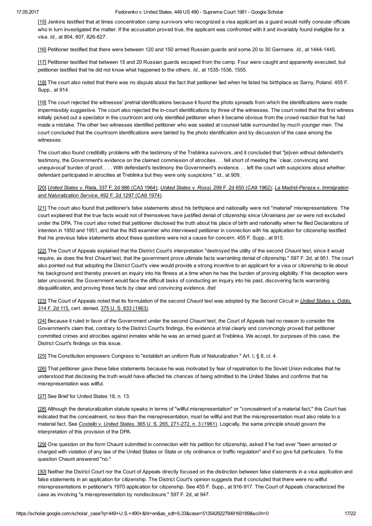<span id="page-16-0"></span>[\[15\]](#page-2-6) Jenkins testified that at times concentration camp survivors who recognized a visa applicant as a guard would notify consular officials who in turn investigated the matter. If the accusation proved true, the applicant was confronted with it and invariably found ineligible for a visa. Id., at 804, 807, 826-827.

<span id="page-16-1"></span>[\[16\]](#page-2-7) Petitioner testified that there were between 120 and 150 armed Russian guards and some 20 to 30 Germans. Id., at 1444-1445.

<span id="page-16-2"></span>[\[17\]](#page-2-8) Petitioner testified that between 15 and 20 Russian guards escaped from the camp. Four were caught and apparently executed, but petitioner testified that he did not know what happened to the others. Id., at 1535-1536, 1555.

<span id="page-16-3"></span>[\[18\]](#page-2-9) The court also noted that there was no dispute about the fact that petitioner lied when he listed his birthplace as Sarny, Poland. 455 F. Supp., at 914.

<span id="page-16-4"></span>[\[19\]](#page-2-10) The court rejected the witnesses' pretrial identifications because it found the photo spreads from which the identifications were made impermissibly suggestive. The court also rejected the in-court identifications by three of the witnesses. The court noted that the first witness initially picked out a spectator in the courtroom and only identified petitioner when it became obvious from the crowd reaction that he had made a mistake. The other two witnesses identified petitioner who was seated at counsel table surrounded by much younger men. The court concluded that the courtroom identifications were tainted by the photo identification and by discussion of the case among the witnesses.

The court also found credibility problems with the testimony of the Treblinka survivors, and it concluded that "[e]ven without defendant's testimony, the Government's evidence on the claimed commission of atrocities. . . fell short of meeting the `clear, convincing and unequivocal' burden of proof. . . . With defendant's testimony the Government's evidence. . . left the court with suspicions about whether defendant participated in atrocities at Treblinka but they were only suspicions." Id., at 909.

## <span id="page-16-5"></span>[\[20\]](#page-3-3) United States v. Riela, 337 F. 2d 986 (CA3 1964); United States v. Rossi, 299 F. 2d 650 (CA9 1962); La Madrid-Peraza v. Immigration and Naturalization Service, 492 F. 2d 1297 (CA9 1974).

<span id="page-16-6"></span>[\[21\]](#page-3-4) The court also found that petitioner's false statements about his birthplace and nationality were not "material" misrepresentations. The court explained that the true facts would not of themselves have justified denial of citizenship since Ukrainians per se were not excluded under the DPA. The court also noted that petitioner disclosed the truth about his place of birth and nationality when he filed Declarations of Intention in 1950 and 1951, and that the INS examiner who interviewed petitioner in connection with his application for citizenship testified that his previous false statements about these questions were not a cause for concern. 455 F. Supp., at 915.

<span id="page-16-7"></span>[\[22\]](#page-3-5) The Court of Appeals explained that the District Court's interpretation "destroyed the utility of the second Chaunt test, since it would require, as does the first Chaunt test, that the government prove ultimate facts warranting denial of citizenship." 597 F. 2d, at 951. The court also pointed out that adopting the District Court's view would provide a strong incentive to an applicant for a visa or citizenship to lie about his background and thereby prevent an inquiry into his fitness at a time when he has the burden of proving eligibility. If his deception were later uncovered, the Government would face the difficult tasks of conducting an inquiry into his past, discovering facts warranting disqualification, and proving those facts by clear and convincing evidence. Ibid.

<span id="page-16-8"></span>[\[23\]](#page-3-6) The Court of Appeals noted that its formulation of the second Chaunt test was adopted by the Second Circuit in United States v. Oddo, 314 F. 2d 115, cert. denied, 375 U. S. 833 (1963).

<span id="page-16-9"></span>[\[24\]](#page-4-3) Because it ruled in favor of the Government under the second Chaunt test, the Court of Appeals had no reason to consider the Government's claim that, contrary to the District Court's findings, the evidence at trial clearly and convincingly proved that petitioner committed crimes and atrocities against inmates while he was an armed guard at Treblinka. We accept, for purposes of this case, the District Court's findings on this issue.

<span id="page-16-10"></span>[\[25\]](#page-4-4) The Constitution empowers Congress to "establish an uniform Rule of Naturalization." Art. I, § 8, cl. 4.

<span id="page-16-11"></span>[\[26\]](#page-5-2) That petitioner gave these false statements because he was motivated by fear of repatriation to the Soviet Union indicates that he understood that disclosing the truth would have affected his chances of being admitted to the United States and confirms that his misrepresentation was willful.

<span id="page-16-12"></span>[\[27\]](#page-5-3) See Brief for United States 18, n. 13.

<span id="page-16-13"></span>[\[28\]](#page-5-4) Although the denaturalization statute speaks in terms of "willful misrepresentation" or "concealment of a material fact," this Court has indicated that the concealment, no less than the misrepresentation, must be willful and that the misrepresentation must also relate to a material fact. See Costello v. United States, 365 U. S. 265, 271-272, n. 3 (1961). Logically, the same principle should govern the interpretation of this provision of the DPA.

<span id="page-16-14"></span>[\[29\]](#page-5-5) One question on the form Chaunt submitted in connection with his petition for citizenship, asked if he had ever "been arrested or charged with violation of any law of the United States or State or city ordinance or traffic regulation" and if so give full particulars. To this question Chaunt answered "no."

<span id="page-16-15"></span>[\[30\]](#page-5-6) Neither the District Court nor the Court of Appeals directly focused on the distinction between false statements in a visa application and false statements in an application for citizenship. The District Court's opinion suggests that it concluded that there were no willful misrepresentations in petitioner's 1970 application for citizenship. See 455 F. Supp., at 916917. The Court of Appeals characterized the case as involving "a misrepresentation by nondisclosure." 597 F. 2d, at 947.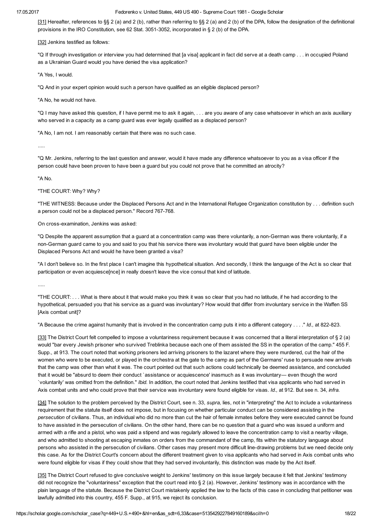<span id="page-17-0"></span>[\[31\]](#page-6-6) Hereafter, references to §§ 2 (a) and 2 (b), rather than referring to §§ 2 (a) and 2 (b) of the DPA, follow the designation of the definitional provisions in the IRO Constitution, see 62 Stat. 3051-3052, incorporated in § 2 (b) of the DPA.

<span id="page-17-1"></span>[\[32\]](#page-6-7) Jenkins testified as follows:

"Q If through investigation or interview you had determined that [a visa] applicant in fact did serve at a death camp . . . in occupied Poland as a Ukrainian Guard would you have denied the visa application?

"A Yes, I would.

"Q And in your expert opinion would such a person have qualified as an eligible displaced person?

"A No, he would not have.

"Q I may have asked this question, if I have permit me to ask it again, . . . are you aware of any case whatsoever in which an axis auxiliary who served in a capacity as a camp guard was ever legally qualified as a displaced person?

"A No, I am not. I am reasonably certain that there was no such case.

.....

"Q Mr. Jenkins, referring to the last question and answer, would it have made any difference whatsoever to you as a visa officer if the person could have been proven to have been a guard but you could not prove that he committed an atrocity?

"A No.

"THE COURT: Why? Why?

"THE WITNESS: Because under the Displaced Persons Act and in the International Refugee Organization constitution by . . . definition such a person could not be a displaced person." Record 767-768.

On cross-examination, Jenkins was asked:

"Q Despite the apparent assumption that a quard at a concentration camp was there voluntarily, a non-German was there voluntarily, if a nonGerman guard came to you and said to you that his service there was involuntary would that guard have been eligible under the Displaced Persons Act and would he have been granted a visa?

"A I don't believe so. In the first place I can't imagine this hypothetical situation. And secondly, I think the language of the Act is so clear that participation or even acquiesce[nce] in really doesn't leave the vice consul that kind of latitude.

.....

"THE COURT: . . . What is there about it that would make you think it was so clear that you had no latitude, if he had according to the hypothetical, persuaded you that his service as a guard was involuntary? How would that differ from involuntary service in the Waffen SS [Axis combat unit]?

"A Because the crime against humanity that is involved in the concentration camp puts it into a different category . . . ." Id., at 822-823.

<span id="page-17-2"></span>[\[33\]](#page-6-8) The District Court felt compelled to impose a voluntariness requirement because it was concerned that a literal interpretation of § 2 (a) would "bar every Jewish prisoner who survived Treblinka because each one of them assisted the SS in the operation of the camp." 455 F. Supp., at 913. The court noted that working prisoners led arriving prisoners to the lazaret where they were murdered, cut the hair of the women who were to be executed, or played in the orchestra at the gate to the camp as part of the Germans' ruse to persuade new arrivals that the camp was other than what it was. The court pointed out that such actions could technically be deemed assistance, and concluded that it would be "absurd to deem their conduct `assistance or acquiescence' inasmuch as it was involuntary— even though the word `voluntarily' was omitted from the definition." *Ibid.* In addition, the court noted that Jenkins testified that visa applicants who had served in Axis combat units and who could prove that their service was involuntary were found eligible for visas. Id., at 912. But see n. 34, infra.

<span id="page-17-3"></span>[\[34\]](#page-6-9) The solution to the problem perceived by the District Court, see n. 33, supra, lies, not in "interpreting" the Act to include a voluntariness requirement that the statute itself does not impose, but in focusing on whether particular conduct can be considered assisting in the persecution of civilians. Thus, an individual who did no more than cut the hair of female inmates before they were executed cannot be found to have assisted in the persecution of civilians. On the other hand, there can be no question that a guard who was issued a uniform and armed with a rifle and a pistol, who was paid a stipend and was regularly allowed to leave the concentration camp to visit a nearby village, and who admitted to shooting at escaping inmates on orders from the commandant of the camp, fits within the statutory language about persons who assisted in the persecution of civilians. Other cases may present more difficult line-drawing problems but we need decide only this case. As for the District Court's concern about the different treatment given to visa applicants who had served in Axis combat units who were found eligible for visas if they could show that they had served involuntarily, this distinction was made by the Act itself.

<span id="page-17-4"></span>[\[35\]](#page-6-10) The District Court refused to give conclusive weight to Jenkins' testimony on this issue largely because it felt that Jenkins' testimony did not recognize the "voluntariness" exception that the court read into § 2 (a). However, Jenkins' testimony was in accordance with the plain language of the statute. Because the District Court mistakenly applied the law to the facts of this case in concluding that petitioner was lawfully admitted into this country, 455 F. Supp., at 915, we reject its conclusion.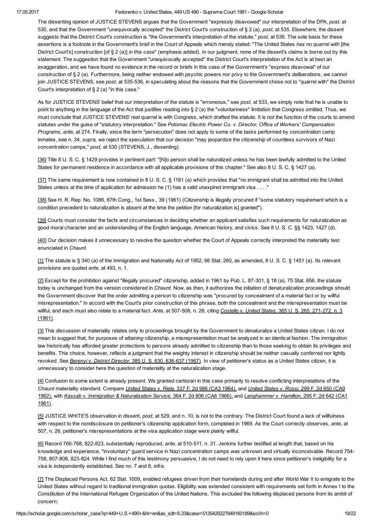The dissenting opinion of JUSTICE STEVENS argues that the Government "expressly disavowed" our interpretation of the DPA, post, at 530, and that the Government "unequivocally accepted" the District Court's construction of § 2 (a), post, at 535. Elsewhere, the dissent suggests that the District Court's construction is "the Government's interpretation of the statute," post, at 536. The sole basis for these assertions is a footnote in the Government's brief in the Court of Appeals which merely stated: "The United States has no quarrel with [the District Court's] construction [of § 2 (a)] in this case" (emphasis added). In our judgment, none of the dissent's claims is borne out by this statement. The suggestion that the Government "unequivocally accepted" the District Court's interpretation of the Act is at best an exaggeration, and we have found no evidence in the record or briefs in this case of the Government's "express disavowal" of our construction of § 2 (a). Furthermore, being neither endowed with psychic powers nor privy to the Government's deliberations, we cannot join JUSTICE STEVENS, see post, at 535-536, in speculating about the reasons that the Government chose not to "quarrel with" the District Court's interpretation of § 2 (a) "in this case."

As for JUSTICE STEVENS' belief that our interpretation of the statute is "erroneous," see post, at 533, we simply note that he is unable to point to anything in the language of the Act that justifies reading into § 2 (a) the "voluntariness" limitation that Congress omitted. Thus, we must conclude that JUSTICE STEVENS' real quarrel is with Congress, which drafted the statute. It is not the function of the courts to amend statutes under the quise of "statutory interpretation." See Potomac Electric Power Co. v. Director, Office of Workers' Compensation Programs, ante, at 274. Finally, since the term "persecution" does not apply to some of the tasks performed by concentration camp inmates, see n. 34, supra, we reject the speculation that our decision "may jeopardize the citizenship of countless survivors of Nazi concentration camps," post, at 530 (STEVENS, J., dissenting).

<span id="page-18-0"></span>[\[36\]](#page-6-11) Title 8 U. S. C. § 1429 provides in pertinent part: "[N]o person shall be naturalized unless he has been lawfully admitted to the United States for permanent residence in accordance with all applicable provisions of this chapter." See also 8 U. S. C. § 1427 (a).

<span id="page-18-1"></span>[\[37\]](#page-7-2) The same requirement is now contained in 8 U. S. C. § 1181 (a) which provides that "no immigrant shall be admitted into the United States unless at the time of application for admission he (1) has a valid unexpired immigrant visa . . . ."

<span id="page-18-2"></span>[\[38\]](#page-7-3) See H. R. Rep. No. 1086, 87th Cong., 1st Sess., 39 (1961) (Citizenship is illegally procured if "some statutory requirement which is a condition precedent to naturalization is absent at the time the petition [for naturalization is] granted").

<span id="page-18-3"></span>[\[39\]](#page-7-4) Courts must consider the facts and circumstances in deciding whether an applicant satisfies such requirements for naturalization as good moral character and an understanding of the English language, American history, and civics. See 8 U. S. C. §§ 1423, 1427 (d).

<span id="page-18-4"></span>[\[40\]](#page-8-3) Our decision makes it unnecessary to resolve the question whether the Court of Appeals correctly interpreted the materiality test enunciated in Chaunt.

<span id="page-18-5"></span>[\[1\]](#page-8-4) The statute is § 340 (a) of the Immigration and Nationality Act of 1952, 66 Stat. 260, as amended, 8 U. S. C. § 1451 (a). Its relevant provisions are quoted ante, at 493, n. 1.

<span id="page-18-6"></span>[\[2\]](#page-8-5) Except for the prohibition against "illegally procured" citizenship, added in 1961 by Pub. L. 87-301, § 18 (a), 75 Stat. 656, the statute today is unchanged from the version considered in Chaunt. Now, as then, it authorizes the initiation of denaturalization proceedings should the Government discover that the order admitting a person to citizenship was "procured by concealment of a material fact or by willful misrepresentation." In accord with the Court's prior construction of this phrase, both the concealment and the misrepresentation must be willful, and each must also relate to a material fact. Ante, at 507-508, n. 28, citing Costello v. United States, 365 U. S. 265, 271-272, n. 3 (1961).

<span id="page-18-7"></span>[\[3\]](#page-9-3) This discussion of materiality relates only to proceedings brought by the Government to denaturalize a United States citizen. I do not mean to suggest that, for purposes of attaining citizenship, a misrepresentation must be analyzed in an identical fashion. The immigration law historically has afforded greater protections to persons already admitted to citizenship than to those seeking to obtain its privileges and benefits. This choice, however, reflects a judgment that the weighty interest in citizenship should be neither casually conferred nor lightly revoked. See Berenyi v. District Director, 385 U. S. 630, 636-637 (1967). In view of petitioner's status as a United States citizen, it is unnecessary to consider here the question of materiality at the naturalization stage.

<span id="page-18-8"></span>[\[4\]](#page-9-4) Confusion to some extent is already present. We granted certiorari in this case primarily to resolve conflicting interpretations of the Chaunt materiality standard. Compare United States v. Riela, 337 F. 2d 986 (CA3 1964), and United States v. Rossi, 299 F. 2d 650 (CA9 1962), with Kassab v. Immigration & Naturalization Service, 364 F. 2d 806 (CA6 1966), and Langhammer v. Hamilton, 295 F. 2d 642 (CA1 1961).

<span id="page-18-9"></span>[\[5\]](#page-9-5) JUSTICE WHITE'S observation in dissent, post, at 529, and n. 10, is not to the contrary. The District Court found a lack of willfulness with respect to the nondisclosure on petitioner's citizenship application form, completed in 1969. As the Court correctly observes, ante, at 507, n. 26, petitioner's misrepresentations at the visa application stage were plainly willful.

<span id="page-18-10"></span>[\[6\]](#page-9-6) Record 766-768, 822-823, substantially reproduced, ante, at 510-511, n. 31. Jenkins further testified at length that, based on his knowledge and experience, "involuntary" guard service in Nazi concentration camps was unknown and virtually inconceivable. Record 754 758, 807-808, 823-824. While I find much of this testimony persuasive, I do not need to rely upon it here since petitioner's ineligibility for a visa is independently established. See nn. 7 and 8, infra.

<span id="page-18-11"></span>[\[7\]](#page-9-7) The Displaced Persons Act, 62 Stat. 1009, enabled refugees driven from their homelands during and after World War II to emigrate to the United States without regard to traditional immigration quotas. Eligibility was extended consistent with requirements set forth in Annex I to the Constitution of the International Refugee Organization of the United Nations. This excluded the following displaced persons from its ambit of concern: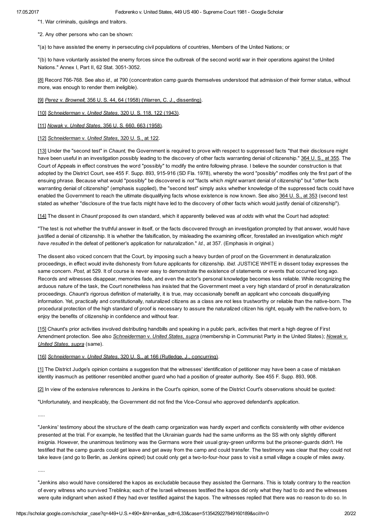"1. War criminals, quislings and traitors.

"2. Any other persons who can be shown:

"(a) to have assisted the enemy in persecuting civil populations of countries, Members of the United Nations; or

"(b) to have voluntarily assisted the enemy forces since the outbreak of the second world war in their operations against the United Nations." Annex I, Part II, 62 Stat. 3051-3052.

<span id="page-19-0"></span>[\[8\]](#page-9-8) Record 766-768. See also id., at 790 (concentration camp guards themselves understood that admission of their former status, without more, was enough to render them ineligible).

<span id="page-19-1"></span>[\[9\]](#page-9-9) Perez v. Brownell, 356 U. S. 44, 64 (1958) (Warren, C. J., dissenting).

<span id="page-19-2"></span>[\[10\]](#page-9-10) Schneiderman v. United States, 320 U. S. 118, 122 (1943).

<span id="page-19-3"></span>[\[11\]](#page-9-11) Nowak v. United States, 356 U. S. 660, 663 (1958).

#### <span id="page-19-4"></span>[\[12\]](#page-9-12) Schneiderman v. United States, 320 U. S., at 122.

<span id="page-19-5"></span>[\[13\]](#page-10-3) Under the "second test" in *Chaunt*, the Government is required to prove with respect to suppressed facts "that their disclosure might have been useful in an investigation possibly leading to the discovery of other facts warranting denial of citizenship." 364 U. S., at 355. The Court of Appeals in effect construes the word "possibly" to modify the entire following phrase. I believe the sounder construction is that adopted by the District Court, see 455 F. Supp. 893, 915916 (SD Fla. 1978), whereby the word "possibly" modifies only the first part of the ensuing phrase. Because what would "possibly" be discovered is not "facts which might warrant denial of citizenship" but "other facts warranting denial of citizenship" (emphasis supplied), the "second test" simply asks whether knowledge of the suppressed facts could have enabled the Government to reach the ultimate disqualifying facts whose existence is now known. See also 364 U. S., at 353 (second test stated as whether "disclosure of the true facts might have led to the discovery of other facts which would justify denial of citizenship").

<span id="page-19-6"></span>[\[14\]](#page-10-4) The dissent in *Chaunt* proposed its own standard, which it apparently believed was at odds with what the Court had adopted:

"The test is not whether the truthful answer in itself, or the facts discovered through an investigation prompted by that answer, would have justified a denial of citizenship. It is whether the falsification, by misleading the examining officer, forestalled an investigation which might have resulted in the defeat of petitioner's application for naturalization." Id., at 357. (Emphasis in original.)

The dissent also voiced concern that the Court, by imposing such a heavy burden of proof on the Government in denaturalization proceedings, in effect would invite dishonesty from future applicants for citizenship. Ibid. JUSTICE WHITE in dissent today expresses the same concern. Post, at 529. It of course is never easy to demonstrate the existence of statements or events that occurred long ago. Records and witnesses disappear, memories fade, and even the actor's personal knowledge becomes less reliable. While recognizing the arduous nature of the task, the Court nonetheless has insisted that the Government meet a very high standard of proof in denaturalization proceedings. Chaunt's rigorous definition of materiality, it is true, may occasionally benefit an applicant who conceals disqualifying information. Yet, practically and constitutionally, naturalized citizens as a class are not less trustworthy or reliable than the native-born. The procedural protection of the high standard of proof is necessary to assure the naturalized citizen his right, equally with the native-born, to enjoy the benefits of citizenship in confidence and without fear.

<span id="page-19-7"></span>[\[15\]](#page-10-5) Chaunt's prior activities involved distributing handbills and speaking in a public park, activities that merit a high degree of First Amendment protection. See also Schneiderman v. United States, supra (membership in Communist Party in the United States); Nowak v. United States, supra (same).

<span id="page-19-8"></span>[\[16\]](#page-10-6) Schneiderman v. United States, 320 U. S., at 166 (Rutledge, J., concurring).

<span id="page-19-9"></span>[\[1\]](#page-11-3) The District Judge's opinion contains a suggestion that the witnesses' identification of petitioner may have been a case of mistaken identity inasmuch as petitioner resembled another guard who had a position of greater authority. See 455 F. Supp. 893, 908.

<span id="page-19-10"></span>[\[2\]](#page-11-4) In view of the extensive references to Jenkins in the Court's opinion, some of the District Court's observations should be quoted:

"Unfortunately, and inexplicably, the Government did not find the Vice-Consul who approved defendant's application.

"Jenkins' testimony about the structure of the death camp organization was hardly expert and conflicts consistently with other evidence presented at the trial. For example, he testified that the Ukrainian guards had the same uniforms as the SS with only slightly different insignia. However, the unanimous testimony was the Germans wore their usual gray-green uniforms but the prisoner-guards didn't. He testified that the camp guards could get leave and get away from the camp and could transfer. The testimony was clear that they could not take leave (and go to Berlin, as Jenkins opined) but could only get a two-to-four-hour pass to visit a small village a couple of miles away.

.....

.....

"Jenkins also would have considered the kapos as excludable because they assisted the Germans. This is totally contrary to the reaction of every witness who survived Treblinka; each of the Israeli witnesses testified the kapos did only what they had to do and the witnesses were quite indignant when asked if they had ever testified against the kapos. The witnesses replied that there was no reason to do so. In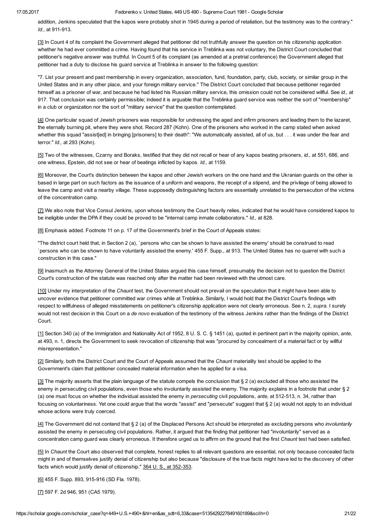addition, Jenkins speculated that the kapos were probably shot in 1945 during a period of retaliation, but the testimony was to the contrary." Id., at 911-913.

<span id="page-20-0"></span>[\[3\]](#page-11-5) In Count 4 of its complaint the Government alleged that petitioner did not truthfully answer the question on his citizenship application whether he had ever committed a crime. Having found that his service in Treblinka was not voluntary, the District Court concluded that petitioner's negative answer was truthful. In Count 5 of its complaint (as amended at a pretrial conference) the Government alleged that petitioner had a duty to disclose his guard service at Treblinka in answer to the following question:

"7. List your present and past membership in every organization, association, fund, foundation, party, club, society, or similar group in the United States and in any other place, and your foreign military service." The District Court concluded that because petitioner regarded himself as a prisoner of war, and because he had listed his Russian military service, this omission could not be considered willful. See id., at 917. That conclusion was certainly permissible; indeed it is arguable that the Treblinka guard service was neither the sort of "membership" in a club or organization nor the sort of "military service" that the question contemplated.

<span id="page-20-1"></span>[\[4\]](#page-12-3) One particular squad of Jewish prisoners was responsible for undressing the aged and infirm prisoners and leading them to the lazaret, the eternally burning pit, where they were shot. Record 287 (Kohn). One of the prisoners who worked in the camp stated when asked whether this squad "assist[ed] in bringing [prisoners] to their death": "We automatically assisted, all of us, but . . . it was under the fear and terror." Id., at 293 (Kohn).

<span id="page-20-2"></span>[\[5\]](#page-12-4) Two of the witnesses, Czarny and Boraks, testified that they did not recall or hear of any kapos beating prisoners, id., at 551, 686, and one witness, Epstein, did not see or hear of beatings inflicted by kapos. Id., at 1159.

<span id="page-20-3"></span>[\[6\]](#page-12-5) Moreover, the Court's distinction between the kapos and other Jewish workers on the one hand and the Ukranian guards on the other is based in large part on such factors as the issuance of a uniform and weapons, the receipt of a stipend, and the privilege of being allowed to leave the camp and visit a nearby village. These supposedly distinguishing factors are essentially unrelated to the persecution of the victims of the concentration camp.

<span id="page-20-4"></span>[\[7\]](#page-12-6) We also note that Vice Consul Jenkins, upon whose testimony the Court heavily relies, indicated that he would have considered kapos to be ineligible under the DPA if they could be proved to be "internal camp inmate collaborators." Id., at 828.

<span id="page-20-5"></span>[\[8\]](#page-12-7) Emphasis added. Footnote 11 on p. 17 of the Government's brief in the Court of Appeals states:

"The district court held that, in Section 2 (a), `persons who can be shown to have assisted the enemy' should be construed to read `persons who can be shown to have voluntarily assisted the enemy.' 455 F. Supp., at 913. The United States has no quarrel with such a construction in this case."

<span id="page-20-6"></span>[\[9\]](#page-12-8) Inasmuch as the Attorney General of the United States argued this case himself, presumably the decision not to question the District Court's construction of the statute was reached only after the matter had been reviewed with the utmost care.

<span id="page-20-7"></span>[\[10\]](#page-13-3) Under my interpretation of the Chaunt test, the Government should not prevail on the speculation that it might have been able to uncover evidence that petitioner committed war crimes while at Treblinka. Similarly, I would hold that the District Court's findings with respect to willfulness of alleged misstatements on petitioner's citizenship application were not clearly erroneous. See n. 2, supra. I surely would not rest decision in this Court on a de novo evaluation of the testimony of the witness Jenkins rather than the findings of the District Court.

<span id="page-20-8"></span>[\[1\]](#page-13-4) Section 340 (a) of the Immigration and Nationality Act of 1952, 8 U. S. C. § 1451 (a), quoted in pertinent part in the majority opinion, ante, at 493, n. 1, directs the Government to seek revocation of citizenship that was "procured by concealment of a material fact or by willful misrepresentation."

<span id="page-20-9"></span>[\[2\]](#page-13-5) Similarly, both the District Court and the Court of Appeals assumed that the Chaunt materiality test should be applied to the Government's claim that petitioner concealed material information when he applied for a visa.

<span id="page-20-10"></span>[\[3\]](#page-14-5) The majority asserts that the plain language of the statute compels the conclusion that § 2 (a) excluded all those who assisted the enemy in persecuting civil populations, even those who involuntarily assisted the enemy. The majority explains in a footnote that under § 2 (a) one must focus on whether the individual assisted the enemy in persecuting civil populations, ante, at 512-513, n. 34, rather than focusing on voluntariness. Yet one could argue that the words "assist" and "persecute" suggest that § 2 (a) would not apply to an individual whose actions were truly coerced.

<span id="page-20-11"></span>[\[4\]](#page-14-6) The Government did not contend that § 2 (a) of the Displaced Persons Act should be interpreted as excluding persons who involuntarily assisted the enemy in persecuting civil populations. Rather, it argued that the finding that petitioner had "involuntarily" served as a concentration camp guard was clearly erroneous. It therefore urged us to affirm on the ground that the first Chaunt test had been satisfied.

<span id="page-20-12"></span>[\[5\]](#page-14-7) In Chaunt the Court also observed that complete, honest replies to all relevant questions are essential, not only because concealed facts might in and of themselves justify denial of citizenship but also because "disclosure of the true facts might have led to the discovery of other facts which would justify denial of citizenship." 364 U. S., at 352-353.

<span id="page-20-13"></span>[\[6\]](#page-14-8) 455 F. Supp. 893, 915-916 (SD Fla. 1978).

<span id="page-20-14"></span>[\[7\]](#page-14-9) 597 F. 2d 946, 951 (CA5 1979).